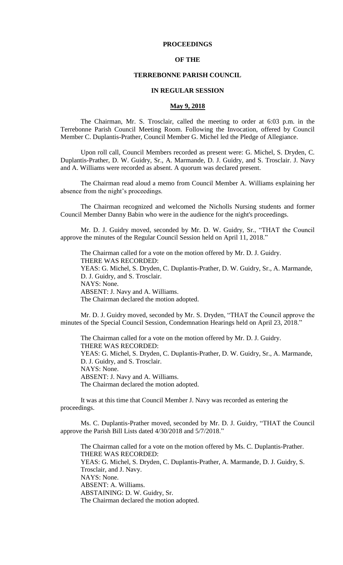# **PROCEEDINGS**

# **OF THE**

#### **TERREBONNE PARISH COUNCIL**

#### **IN REGULAR SESSION**

# **May 9, 2018**

The Chairman, Mr. S. Trosclair, called the meeting to order at 6:03 p.m. in the Terrebonne Parish Council Meeting Room. Following the Invocation, offered by Council Member C. Duplantis-Prather, Council Member G. Michel led the Pledge of Allegiance.

Upon roll call, Council Members recorded as present were: G. Michel, S. Dryden, C. Duplantis-Prather, D. W. Guidry, Sr., A. Marmande, D. J. Guidry, and S. Trosclair. J. Navy and A. Williams were recorded as absent. A quorum was declared present.

The Chairman read aloud a memo from Council Member A. Williams explaining her absence from the night's proceedings.

The Chairman recognized and welcomed the Nicholls Nursing students and former Council Member Danny Babin who were in the audience for the night's proceedings.

Mr. D. J. Guidry moved, seconded by Mr. D. W. Guidry, Sr., "THAT the Council approve the minutes of the Regular Council Session held on April 11, 2018."

The Chairman called for a vote on the motion offered by Mr. D. J. Guidry. THERE WAS RECORDED: YEAS: G. Michel, S. Dryden, C. Duplantis-Prather, D. W. Guidry, Sr., A. Marmande, D. J. Guidry, and S. Trosclair. NAYS: None. ABSENT: J. Navy and A. Williams. The Chairman declared the motion adopted.

Mr. D. J. Guidry moved, seconded by Mr. S. Dryden, "THAT the Council approve the minutes of the Special Council Session, Condemnation Hearings held on April 23, 2018."

The Chairman called for a vote on the motion offered by Mr. D. J. Guidry. THERE WAS RECORDED: YEAS: G. Michel, S. Dryden, C. Duplantis-Prather, D. W. Guidry, Sr., A. Marmande, D. J. Guidry, and S. Trosclair. NAYS: None. ABSENT: J. Navy and A. Williams. The Chairman declared the motion adopted.

It was at this time that Council Member J. Navy was recorded as entering the proceedings.

Ms. C. Duplantis-Prather moved, seconded by Mr. D. J. Guidry, "THAT the Council approve the Parish Bill Lists dated 4/30/2018 and 5/7/2018."

The Chairman called for a vote on the motion offered by Ms. C. Duplantis-Prather. THERE WAS RECORDED: YEAS: G. Michel, S. Dryden, C. Duplantis-Prather, A. Marmande, D. J. Guidry, S. Trosclair, and J. Navy. NAYS: None. ABSENT: A. Williams. ABSTAINING: D. W. Guidry, Sr. The Chairman declared the motion adopted.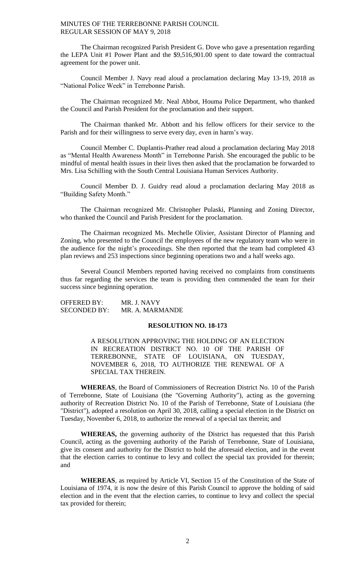The Chairman recognized Parish President G. Dove who gave a presentation regarding the LEPA Unit #1 Power Plant and the \$9,516,901.00 spent to date toward the contractual agreement for the power unit.

Council Member J. Navy read aloud a proclamation declaring May 13-19, 2018 as "National Police Week" in Terrebonne Parish.

The Chairman recognized Mr. Neal Abbot, Houma Police Department, who thanked the Council and Parish President for the proclamation and their support.

The Chairman thanked Mr. Abbott and his fellow officers for their service to the Parish and for their willingness to serve every day, even in harm's way.

Council Member C. Duplantis-Prather read aloud a proclamation declaring May 2018 as "Mental Health Awareness Month" in Terrebonne Parish. She encouraged the public to be mindful of mental health issues in their lives then asked that the proclamation be forwarded to Mrs. Lisa Schilling with the South Central Louisiana Human Services Authority.

Council Member D. J. Guidry read aloud a proclamation declaring May 2018 as "Building Safety Month."

The Chairman recognized Mr. Christopher Pulaski, Planning and Zoning Director, who thanked the Council and Parish President for the proclamation.

The Chairman recognized Ms. Mechelle Olivier, Assistant Director of Planning and Zoning, who presented to the Council the employees of the new regulatory team who were in the audience for the night's proceedings. She then reported that the team had completed 43 plan reviews and 253 inspections since beginning operations two and a half weeks ago.

Several Council Members reported having received no complaints from constituents thus far regarding the services the team is providing then commended the team for their success since beginning operation.

| OFFERED BY:         | MR. J. NAVY     |
|---------------------|-----------------|
| <b>SECONDED BY:</b> | MR. A. MARMANDE |

## **RESOLUTION NO. 18-173**

A RESOLUTION APPROVING THE HOLDING OF AN ELECTION IN RECREATION DISTRICT NO. 10 OF THE PARISH OF TERREBONNE, STATE OF LOUISIANA, ON TUESDAY, NOVEMBER 6, 2018, TO AUTHORIZE THE RENEWAL OF A SPECIAL TAX THEREIN.

**WHEREAS**, the Board of Commissioners of Recreation District No. 10 of the Parish of Terrebonne, State of Louisiana (the "Governing Authority"), acting as the governing authority of Recreation District No. 10 of the Parish of Terrebonne, State of Louisiana (the "District"), adopted a resolution on April 30, 2018, calling a special election in the District on Tuesday, November 6, 2018, to authorize the renewal of a special tax therein; and

**WHEREAS,** the governing authority of the District has requested that this Parish Council, acting as the governing authority of the Parish of Terrebonne, State of Louisiana, give its consent and authority for the District to hold the aforesaid election, and in the event that the election carries to continue to levy and collect the special tax provided for therein; and

**WHEREAS**, as required by Article VI, Section 15 of the Constitution of the State of Louisiana of 1974, it is now the desire of this Parish Council to approve the holding of said election and in the event that the election carries, to continue to levy and collect the special tax provided for therein;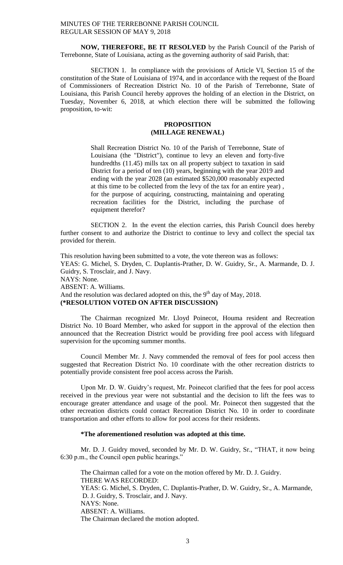**NOW, THEREFORE, BE IT RESOLVED** by the Parish Council of the Parish of Terrebonne, State of Louisiana, acting as the governing authority of said Parish, that:

SECTION 1. In compliance with the provisions of Article VI, Section 15 of the constitution of the State of Louisiana of 1974, and in accordance with the request of the Board of Commissioners of Recreation District No. 10 of the Parish of Terrebonne, State of Louisiana, this Parish Council hereby approves the holding of an election in the District, on Tuesday, November 6, 2018, at which election there will be submitted the following proposition, to-wit:

# **PROPOSITION (MILLAGE RENEWAL)**

Shall Recreation District No. 10 of the Parish of Terrebonne, State of Louisiana (the "District"), continue to levy an eleven and forty-five hundredths (11.45) mills tax on all property subject to taxation in said District for a period of ten (10) years, beginning with the year 2019 and ending with the year 2028 (an estimated \$520,000 reasonably expected at this time to be collected from the levy of the tax for an entire year) , for the purpose of acquiring, constructing, maintaining and operating recreation facilities for the District, including the purchase of equipment therefor?

SECTION 2. In the event the election carries, this Parish Council does hereby further consent to and authorize the District to continue to levy and collect the special tax provided for therein.

This resolution having been submitted to a vote, the vote thereon was as follows: YEAS: G. Michel, S. Dryden, C. Duplantis-Prather, D. W. Guidry, Sr., A. Marmande, D. J. Guidry, S. Trosclair, and J. Navy. NAYS: None. ABSENT: A. Williams. And the resolution was declared adopted on this, the  $9<sup>th</sup>$  day of May, 2018. **(\*RESOLUTION VOTED ON AFTER DISCUSSION)**

The Chairman recognized Mr. Lloyd Poinecot, Houma resident and Recreation District No. 10 Board Member, who asked for support in the approval of the election then announced that the Recreation District would be providing free pool access with lifeguard supervision for the upcoming summer months.

Council Member Mr. J. Navy commended the removal of fees for pool access then suggested that Recreation District No. 10 coordinate with the other recreation districts to potentially provide consistent free pool access across the Parish.

Upon Mr. D. W. Guidry's request, Mr. Poinecot clarified that the fees for pool access received in the previous year were not substantial and the decision to lift the fees was to encourage greater attendance and usage of the pool. Mr. Poinecot then suggested that the other recreation districts could contact Recreation District No. 10 in order to coordinate transportation and other efforts to allow for pool access for their residents.

# **\*The aforementioned resolution was adopted at this time.**

Mr. D. J. Guidry moved, seconded by Mr. D. W. Guidry, Sr., "THAT, it now being 6:30 p.m., the Council open public hearings."

The Chairman called for a vote on the motion offered by Mr. D. J. Guidry. THERE WAS RECORDED: YEAS: G. Michel, S. Dryden, C. Duplantis-Prather, D. W. Guidry, Sr., A. Marmande, D. J. Guidry, S. Trosclair, and J. Navy. NAYS: None. ABSENT: A. Williams. The Chairman declared the motion adopted.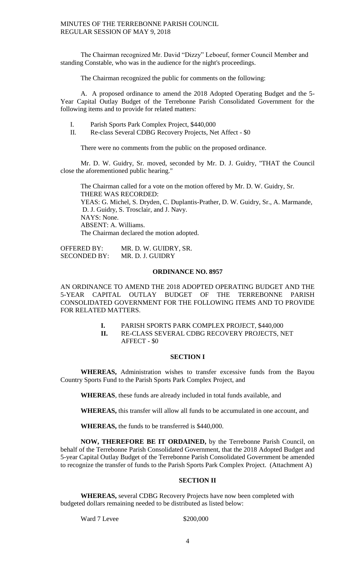The Chairman recognized Mr. David "Dizzy" Leboeuf, former Council Member and standing Constable, who was in the audience for the night's proceedings.

The Chairman recognized the public for comments on the following:

A. A proposed ordinance to amend the 2018 Adopted Operating Budget and the 5- Year Capital Outlay Budget of the Terrebonne Parish Consolidated Government for the following items and to provide for related matters:

- I. Parish Sports Park Complex Project, \$440,000
- II. Re-class Several CDBG Recovery Projects, Net Affect \$0

There were no comments from the public on the proposed ordinance.

Mr. D. W. Guidry, Sr. moved, seconded by Mr. D. J. Guidry, "THAT the Council close the aforementioned public hearing."

The Chairman called for a vote on the motion offered by Mr. D. W. Guidry, Sr. THERE WAS RECORDED: YEAS: G. Michel, S. Dryden, C. Duplantis-Prather, D. W. Guidry, Sr., A. Marmande, D. J. Guidry, S. Trosclair, and J. Navy. NAYS: None. ABSENT: A. Williams. The Chairman declared the motion adopted.

OFFERED BY: MR. D. W. GUIDRY, SR. SECONDED BY: MR. D. J. GUIDRY

# **ORDINANCE NO. 8957**

AN ORDINANCE TO AMEND THE 2018 ADOPTED OPERATING BUDGET AND THE 5-YEAR CAPITAL OUTLAY BUDGET OF THE TERREBONNE PARISH CONSOLIDATED GOVERNMENT FOR THE FOLLOWING ITEMS AND TO PROVIDE FOR RELATED MATTERS.

- **I.** PARISH SPORTS PARK COMPLEX PROJECT, \$440,000
- **II.** RE-CLASS SEVERAL CDBG RECOVERY PROJECTS, NET AFFECT - \$0

## **SECTION I**

**WHEREAS,** Administration wishes to transfer excessive funds from the Bayou Country Sports Fund to the Parish Sports Park Complex Project, and

**WHEREAS**, these funds are already included in total funds available, and

**WHEREAS,** this transfer will allow all funds to be accumulated in one account, and

**WHEREAS,** the funds to be transferred is \$440,000.

**NOW, THEREFORE BE IT ORDAINED,** by the Terrebonne Parish Council, on behalf of the Terrebonne Parish Consolidated Government, that the 2018 Adopted Budget and 5-year Capital Outlay Budget of the Terrebonne Parish Consolidated Government be amended to recognize the transfer of funds to the Parish Sports Park Complex Project. (Attachment A)

## **SECTION II**

**WHEREAS,** several CDBG Recovery Projects have now been completed with budgeted dollars remaining needed to be distributed as listed below:

Ward 7 Levee \$200,000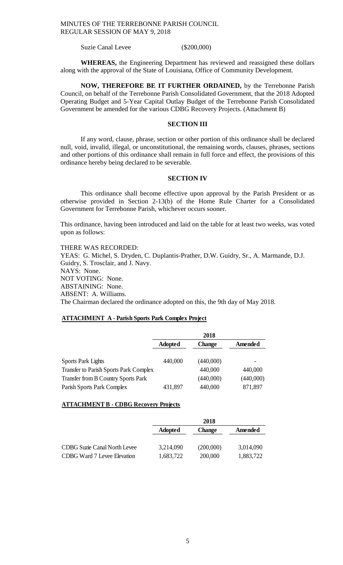Suzie Canal Levee (\$200,000)

**WHEREAS,** the Engineering Department has reviewed and reassigned these dollars along with the approval of the State of Louisiana, Office of Community Development.

**NOW, THEREFORE BE IT FURTHER ORDAINED,** by the Terrebonne Parish Council, on behalf of the Terrebonne Parish Consolidated Government, that the 2018 Adopted Operating Budget and 5-Year Capital Outlay Budget of the Terrebonne Parish Consolidated Government be amended for the various CDBG Recovery Projects. (Attachment B)

## **SECTION III**

If any word, clause, phrase, section or other portion of this ordinance shall be declared null, void, invalid, illegal, or unconstitutional, the remaining words, clauses, phrases, sections and other portions of this ordinance shall remain in full force and effect, the provisions of this ordinance hereby being declared to be severable.

## **SECTION IV**

This ordinance shall become effective upon approval by the Parish President or as otherwise provided in Section 2-13(b) of the Home Rule Charter for a Consolidated Government for Terrebonne Parish, whichever occurs sooner.

This ordinance, having been introduced and laid on the table for at least two weeks, was voted upon as follows:

THERE WAS RECORDED: YEAS: G. Michel, S. Dryden, C. Duplantis-Prather, D.W. Guidry, Sr., A. Marmande, D.J. Guidry, S. Trosclair, and J. Navy. NAYS: None. NOT VOTING: None. ABSTAINING: None. ABSENT: A. Williams. The Chairman declared the ordinance adopted on this, the 9th day of May 2018.

# **ATTACHMENT A - Parish Sports Park Complex Project**

|                                               | 2018           |               |           |
|-----------------------------------------------|----------------|---------------|-----------|
|                                               | <b>Adopted</b> | <b>Change</b> | Amended   |
| <b>Sports Park Lights</b>                     | 440,000        | (440,000)     |           |
| <b>Transfer to Parish Sports Park Complex</b> |                | 440,000       | 440,000   |
| <b>Transfer from B Country Sports Park</b>    |                | (440,000)     | (440,000) |
| Parish Sports Park Complex                    | 431,897        | 440,000       | 871,897   |

# **ATTACHMENT B - CDBG Recovery Projects**

|                                    | 2018           |               |           |
|------------------------------------|----------------|---------------|-----------|
|                                    | <b>Adopted</b> | <b>Change</b> | Amended   |
| CDBG Suzie Canal North Levee       | 3,214,090      | (200,000)     | 3,014,090 |
| <b>CDBG</b> Ward 7 Levee Elevation | 1,683,722      | 200,000       | 1,883,722 |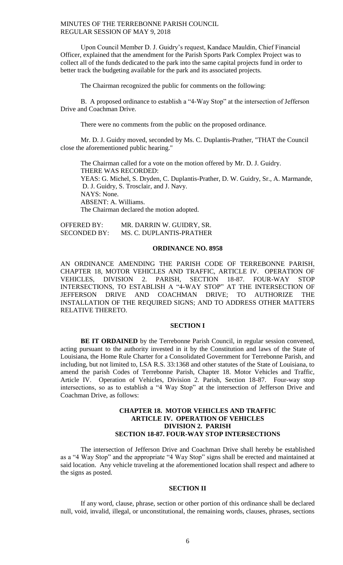Upon Council Member D. J. Guidry's request, Kandace Mauldin, Chief Financial Officer, explained that the amendment for the Parish Sports Park Complex Project was to collect all of the funds dedicated to the park into the same capital projects fund in order to better track the budgeting available for the park and its associated projects.

The Chairman recognized the public for comments on the following:

B. A proposed ordinance to establish a "4-Way Stop" at the intersection of Jefferson Drive and Coachman Drive.

There were no comments from the public on the proposed ordinance.

Mr. D. J. Guidry moved, seconded by Ms. C. Duplantis-Prather, "THAT the Council close the aforementioned public hearing."

The Chairman called for a vote on the motion offered by Mr. D. J. Guidry. THERE WAS RECORDED: YEAS: G. Michel, S. Dryden, C. Duplantis-Prather, D. W. Guidry, Sr., A. Marmande, D. J. Guidry, S. Trosclair, and J. Navy. NAYS: None. ABSENT: A. Williams. The Chairman declared the motion adopted.

OFFERED BY: MR. DARRIN W. GUIDRY, SR. SECONDED BY: MS. C. DUPLANTIS-PRATHER

# **ORDINANCE NO. 8958**

AN ORDINANCE AMENDING THE PARISH CODE OF TERREBONNE PARISH, CHAPTER 18, MOTOR VEHICLES AND TRAFFIC, ARTICLE IV. OPERATION OF VEHICLES, DIVISION 2. PARISH, SECTION 18-87. FOUR-WAY STOP INTERSECTIONS, TO ESTABLISH A "4-WAY STOP" AT THE INTERSECTION OF JEFFERSON DRIVE AND COACHMAN DRIVE; TO AUTHORIZE THE INSTALLATION OF THE REQUIRED SIGNS; AND TO ADDRESS OTHER MATTERS RELATIVE THERETO.

#### **SECTION I**

**BE IT ORDAINED** by the Terrebonne Parish Council, in regular session convened, acting pursuant to the authority invested in it by the Constitution and laws of the State of Louisiana, the Home Rule Charter for a Consolidated Government for Terrebonne Parish, and including, but not limited to, LSA R.S. 33:1368 and other statutes of the State of Louisiana, to amend the parish Codes of Terrebonne Parish, Chapter 18. Motor Vehicles and Traffic, Article IV. Operation of Vehicles, Division 2. Parish, Section 18-87. Four-way stop intersections, so as to establish a "4 Way Stop" at the intersection of Jefferson Drive and Coachman Drive, as follows:

# **CHAPTER 18. MOTOR VEHICLES AND TRAFFIC ARTICLE IV. OPERATION OF VEHICLES DIVISION 2. PARISH SECTION 18-87. FOUR-WAY STOP INTERSECTIONS**

The intersection of Jefferson Drive and Coachman Drive shall hereby be established as a "4 Way Stop" and the appropriate "4 Way Stop" signs shall be erected and maintained at said location. Any vehicle traveling at the aforementioned location shall respect and adhere to the signs as posted.

# **SECTION II**

If any word, clause, phrase, section or other portion of this ordinance shall be declared null, void, invalid, illegal, or unconstitutional, the remaining words, clauses, phrases, sections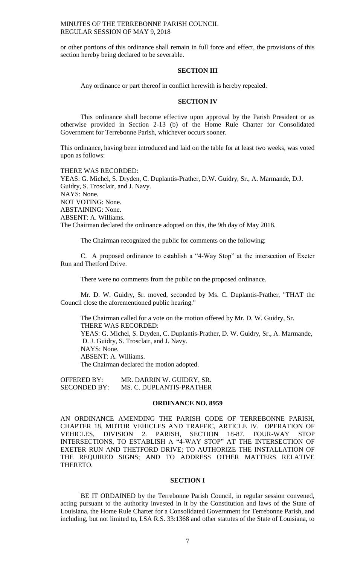or other portions of this ordinance shall remain in full force and effect, the provisions of this section hereby being declared to be severable.

#### **SECTION III**

Any ordinance or part thereof in conflict herewith is hereby repealed.

#### **SECTION IV**

This ordinance shall become effective upon approval by the Parish President or as otherwise provided in Section 2-13 (b) of the Home Rule Charter for Consolidated Government for Terrebonne Parish, whichever occurs sooner.

This ordinance, having been introduced and laid on the table for at least two weeks, was voted upon as follows:

THERE WAS RECORDED: YEAS: G. Michel, S. Dryden, C. Duplantis-Prather, D.W. Guidry, Sr., A. Marmande, D.J. Guidry, S. Trosclair, and J. Navy. NAYS: None. NOT VOTING: None. ABSTAINING: None. ABSENT: A. Williams. The Chairman declared the ordinance adopted on this, the 9th day of May 2018.

The Chairman recognized the public for comments on the following:

C. A proposed ordinance to establish a "4-Way Stop" at the intersection of Exeter Run and Thetford Drive.

There were no comments from the public on the proposed ordinance.

Mr. D. W. Guidry, Sr. moved, seconded by Ms. C. Duplantis-Prather, "THAT the Council close the aforementioned public hearing."

The Chairman called for a vote on the motion offered by Mr. D. W. Guidry, Sr. THERE WAS RECORDED: YEAS: G. Michel, S. Dryden, C. Duplantis-Prather, D. W. Guidry, Sr., A. Marmande, D. J. Guidry, S. Trosclair, and J. Navy. NAYS: None. ABSENT: A. Williams. The Chairman declared the motion adopted.

OFFERED BY: MR. DARRIN W. GUIDRY, SR.<br>SECONDED BY: MS. C. DUPLANTIS-PRATHER MS. C. DUPLANTIS-PRATHER

#### **ORDINANCE NO. 8959**

AN ORDINANCE AMENDING THE PARISH CODE OF TERREBONNE PARISH, CHAPTER 18, MOTOR VEHICLES AND TRAFFIC, ARTICLE IV. OPERATION OF VEHICLES, DIVISION 2. PARISH, SECTION 18-87. FOUR-WAY STOP INTERSECTIONS, TO ESTABLISH A "4-WAY STOP" AT THE INTERSECTION OF EXETER RUN AND THETFORD DRIVE; TO AUTHORIZE THE INSTALLATION OF THE REQUIRED SIGNS; AND TO ADDRESS OTHER MATTERS RELATIVE THERETO.

#### **SECTION I**

BE IT ORDAINED by the Terrebonne Parish Council, in regular session convened, acting pursuant to the authority invested in it by the Constitution and laws of the State of Louisiana, the Home Rule Charter for a Consolidated Government for Terrebonne Parish, and including, but not limited to, LSA R.S. 33:1368 and other statutes of the State of Louisiana, to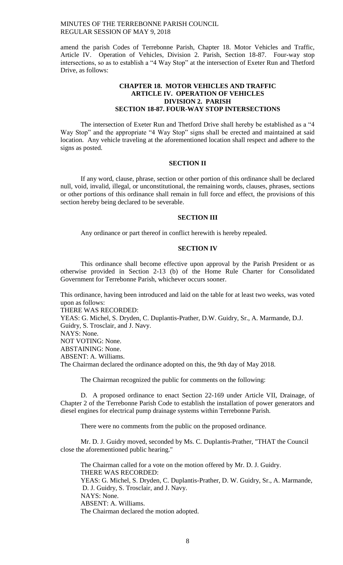amend the parish Codes of Terrebonne Parish, Chapter 18. Motor Vehicles and Traffic, Article IV. Operation of Vehicles, Division 2. Parish, Section 18-87. Four-way stop intersections, so as to establish a "4 Way Stop" at the intersection of Exeter Run and Thetford Drive, as follows:

# **CHAPTER 18. MOTOR VEHICLES AND TRAFFIC ARTICLE IV. OPERATION OF VEHICLES DIVISION 2. PARISH SECTION 18-87. FOUR-WAY STOP INTERSECTIONS**

The intersection of Exeter Run and Thetford Drive shall hereby be established as a "4 Way Stop" and the appropriate "4 Way Stop" signs shall be erected and maintained at said location. Any vehicle traveling at the aforementioned location shall respect and adhere to the signs as posted.

# **SECTION II**

If any word, clause, phrase, section or other portion of this ordinance shall be declared null, void, invalid, illegal, or unconstitutional, the remaining words, clauses, phrases, sections or other portions of this ordinance shall remain in full force and effect, the provisions of this section hereby being declared to be severable.

# **SECTION III**

Any ordinance or part thereof in conflict herewith is hereby repealed.

# **SECTION IV**

This ordinance shall become effective upon approval by the Parish President or as otherwise provided in Section 2-13 (b) of the Home Rule Charter for Consolidated Government for Terrebonne Parish, whichever occurs sooner.

This ordinance, having been introduced and laid on the table for at least two weeks, was voted upon as follows:

THERE WAS RECORDED:

YEAS: G. Michel, S. Dryden, C. Duplantis-Prather, D.W. Guidry, Sr., A. Marmande, D.J. Guidry, S. Trosclair, and J. Navy. NAYS: None. NOT VOTING: None. ABSTAINING: None. ABSENT: A. Williams. The Chairman declared the ordinance adopted on this, the 9th day of May 2018.

The Chairman recognized the public for comments on the following:

D. A proposed ordinance to enact Section 22-169 under Article VII, Drainage, of Chapter 2 of the Terrebonne Parish Code to establish the installation of power generators and diesel engines for electrical pump drainage systems within Terrebonne Parish.

There were no comments from the public on the proposed ordinance.

Mr. D. J. Guidry moved, seconded by Ms. C. Duplantis-Prather, "THAT the Council close the aforementioned public hearing."

The Chairman called for a vote on the motion offered by Mr. D. J. Guidry. THERE WAS RECORDED: YEAS: G. Michel, S. Dryden, C. Duplantis-Prather, D. W. Guidry, Sr., A. Marmande, D. J. Guidry, S. Trosclair, and J. Navy. NAYS: None. ABSENT: A. Williams. The Chairman declared the motion adopted.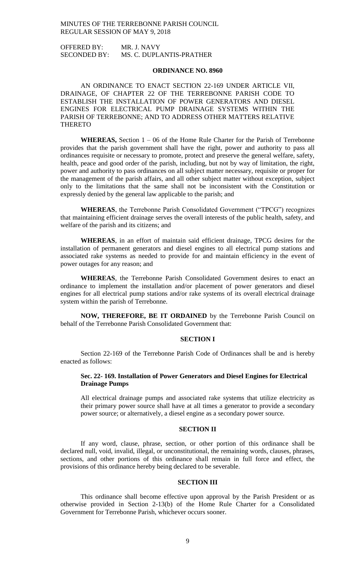OFFERED BY: MR. J. NAVY SECONDED BY: MS. C. DUPLANTIS-PRATHER

## **ORDINANCE NO. 8960**

AN ORDINANCE TO ENACT SECTION 22-169 UNDER ARTICLE VII, DRAINAGE, OF CHAPTER 22 OF THE TERREBONNE PARISH CODE TO ESTABLISH THE INSTALLATION OF POWER GENERATORS AND DIESEL ENGINES FOR ELECTRICAL PUMP DRAINAGE SYSTEMS WITHIN THE PARISH OF TERREBONNE; AND TO ADDRESS OTHER MATTERS RELATIVE THERETO

**WHEREAS,** Section 1 – 06 of the Home Rule Charter for the Parish of Terrebonne provides that the parish government shall have the right, power and authority to pass all ordinances requisite or necessary to promote, protect and preserve the general welfare, safety, health, peace and good order of the parish, including, but not by way of limitation, the right, power and authority to pass ordinances on all subject matter necessary, requisite or proper for the management of the parish affairs, and all other subject matter without exception, subject only to the limitations that the same shall not be inconsistent with the Constitution or expressly denied by the general law applicable to the parish; and

**WHEREAS**, the Terrebonne Parish Consolidated Government ("TPCG") recognizes that maintaining efficient drainage serves the overall interests of the public health, safety, and welfare of the parish and its citizens; and

**WHEREAS**, in an effort of maintain said efficient drainage, TPCG desires for the installation of permanent generators and diesel engines to all electrical pump stations and associated rake systems as needed to provide for and maintain efficiency in the event of power outages for any reason; and

**WHEREAS**, the Terrebonne Parish Consolidated Government desires to enact an ordinance to implement the installation and/or placement of power generators and diesel engines for all electrical pump stations and/or rake systems of its overall electrical drainage system within the parish of Terrebonne.

**NOW, THEREFORE, BE IT ORDAINED** by the Terrebonne Parish Council on behalf of the Terrebonne Parish Consolidated Government that:

## **SECTION I**

Section 22-169 of the Terrebonne Parish Code of Ordinances shall be and is hereby enacted as follows:

# **Sec. 22- 169. Installation of Power Generators and Diesel Engines for Electrical Drainage Pumps**

All electrical drainage pumps and associated rake systems that utilize electricity as their primary power source shall have at all times a generator to provide a secondary power source; or alternatively, a diesel engine as a secondary power source.

#### **SECTION II**

If any word, clause, phrase, section, or other portion of this ordinance shall be declared null, void, invalid, illegal, or unconstitutional, the remaining words, clauses, phrases, sections, and other portions of this ordinance shall remain in full force and effect, the provisions of this ordinance hereby being declared to be severable.

#### **SECTION III**

This ordinance shall become effective upon approval by the Parish President or as otherwise provided in Section 2-13(b) of the Home Rule Charter for a Consolidated Government for Terrebonne Parish, whichever occurs sooner.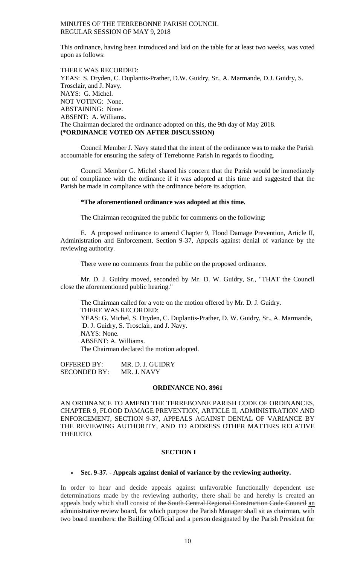This ordinance, having been introduced and laid on the table for at least two weeks, was voted upon as follows:

THERE WAS RECORDED: YEAS: S. Dryden, C. Duplantis-Prather, D.W. Guidry, Sr., A. Marmande, D.J. Guidry, S. Trosclair, and J. Navy. NAYS: G. Michel. NOT VOTING: None. ABSTAINING: None. ABSENT: A. Williams. The Chairman declared the ordinance adopted on this, the 9th day of May 2018. **(\*ORDINANCE VOTED ON AFTER DISCUSSION)**

Council Member J. Navy stated that the intent of the ordinance was to make the Parish accountable for ensuring the safety of Terrebonne Parish in regards to flooding.

Council Member G. Michel shared his concern that the Parish would be immediately out of compliance with the ordinance if it was adopted at this time and suggested that the Parish be made in compliance with the ordinance before its adoption.

# **\*The aforementioned ordinance was adopted at this time.**

The Chairman recognized the public for comments on the following:

E. A proposed ordinance to amend Chapter 9, Flood Damage Prevention, Article II, Administration and Enforcement, Section 9-37, Appeals against denial of variance by the reviewing authority.

There were no comments from the public on the proposed ordinance.

Mr. D. J. Guidry moved, seconded by Mr. D. W. Guidry, Sr., "THAT the Council close the aforementioned public hearing."

The Chairman called for a vote on the motion offered by Mr. D. J. Guidry. THERE WAS RECORDED: YEAS: G. Michel, S. Dryden, C. Duplantis-Prather, D. W. Guidry, Sr., A. Marmande, D. J. Guidry, S. Trosclair, and J. Navy. NAYS: None. ABSENT: A. Williams. The Chairman declared the motion adopted.

OFFERED BY: MR. D. J. GUIDRY SECONDED BY: MR. J. NAVY

## **ORDINANCE NO. 8961**

AN ORDINANCE TO AMEND THE TERREBONNE PARISH CODE OF ORDINANCES, CHAPTER 9, FLOOD DAMAGE PREVENTION, ARTICLE II, ADMINISTRATION AND ENFORCEMENT, SECTION 9-37, APPEALS AGAINST DENIAL OF VARIANCE BY THE REVIEWING AUTHORITY, AND TO ADDRESS OTHER MATTERS RELATIVE THERETO.

# **SECTION I**

**Sec. 9-37. - Appeals against denial of variance by the reviewing authority.**

In order to hear and decide appeals against unfavorable functionally dependent use determinations made by the reviewing authority, there shall be and hereby is created an appeals body which shall consist of the South Central Regional Construction Code Council an administrative review board, for which purpose the Parish Manager shall sit as chairman, with two board members: the Building Official and a person designated by the Parish President for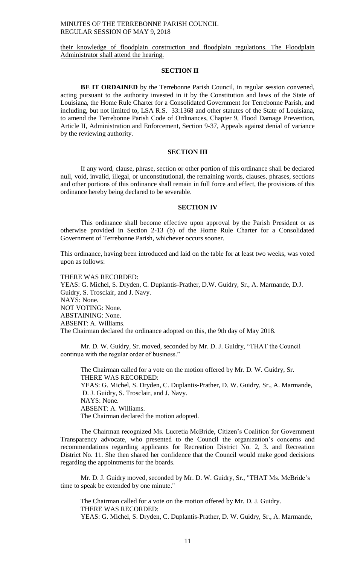their knowledge of floodplain construction and floodplain regulations. The Floodplain Administrator shall attend the hearing.

# **SECTION II**

**BE IT ORDAINED** by the Terrebonne Parish Council, in regular session convened, acting pursuant to the authority invested in it by the Constitution and laws of the State of Louisiana, the Home Rule Charter for a Consolidated Government for Terrebonne Parish, and including, but not limited to, LSA R.S. 33:1368 and other statutes of the State of Louisiana, to amend the Terrebonne Parish Code of Ordinances, Chapter 9, Flood Damage Prevention, Article II, Administration and Enforcement, Section 9-37, Appeals against denial of variance by the reviewing authority.

#### **SECTION III**

If any word, clause, phrase, section or other portion of this ordinance shall be declared null, void, invalid, illegal, or unconstitutional, the remaining words, clauses, phrases, sections and other portions of this ordinance shall remain in full force and effect, the provisions of this ordinance hereby being declared to be severable.

#### **SECTION IV**

This ordinance shall become effective upon approval by the Parish President or as otherwise provided in Section 2-13 (b) of the Home Rule Charter for a Consolidated Government of Terrebonne Parish, whichever occurs sooner.

This ordinance, having been introduced and laid on the table for at least two weeks, was voted upon as follows:

THERE WAS RECORDED: YEAS: G. Michel, S. Dryden, C. Duplantis-Prather, D.W. Guidry, Sr., A. Marmande, D.J. Guidry, S. Trosclair, and J. Navy. NAYS: None. NOT VOTING: None. ABSTAINING: None. ABSENT: A. Williams. The Chairman declared the ordinance adopted on this, the 9th day of May 2018.

Mr. D. W. Guidry, Sr. moved, seconded by Mr. D. J. Guidry, "THAT the Council continue with the regular order of business."

The Chairman called for a vote on the motion offered by Mr. D. W. Guidry, Sr. THERE WAS RECORDED: YEAS: G. Michel, S. Dryden, C. Duplantis-Prather, D. W. Guidry, Sr., A. Marmande, D. J. Guidry, S. Trosclair, and J. Navy. NAYS: None. ABSENT: A. Williams. The Chairman declared the motion adopted.

The Chairman recognized Ms. Lucretia McBride, Citizen's Coalition for Government Transparency advocate, who presented to the Council the organization's concerns and recommendations regarding applicants for Recreation District No. 2, 3. and Recreation District No. 11. She then shared her confidence that the Council would make good decisions regarding the appointments for the boards.

Mr. D. J. Guidry moved, seconded by Mr. D. W. Guidry, Sr., "THAT Ms. McBride's time to speak be extended by one minute."

The Chairman called for a vote on the motion offered by Mr. D. J. Guidry. THERE WAS RECORDED: YEAS: G. Michel, S. Dryden, C. Duplantis-Prather, D. W. Guidry, Sr., A. Marmande,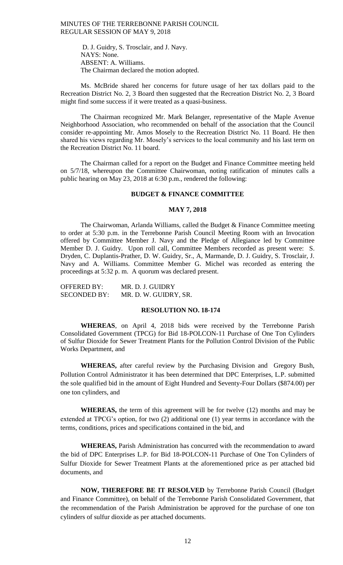D. J. Guidry, S. Trosclair, and J. Navy. NAYS: None. ABSENT: A. Williams. The Chairman declared the motion adopted.

Ms. McBride shared her concerns for future usage of her tax dollars paid to the Recreation District No. 2, 3 Board then suggested that the Recreation District No. 2, 3 Board might find some success if it were treated as a quasi-business.

The Chairman recognized Mr. Mark Belanger, representative of the Maple Avenue Neighborhood Association, who recommended on behalf of the association that the Council consider re-appointing Mr. Amos Mosely to the Recreation District No. 11 Board. He then shared his views regarding Mr. Mosely's services to the local community and his last term on the Recreation District No. 11 board.

The Chairman called for a report on the Budget and Finance Committee meeting held on 5/7/18, whereupon the Committee Chairwoman, noting ratification of minutes calls a public hearing on May 23, 2018 at 6:30 p.m., rendered the following:

# **BUDGET & FINANCE COMMITTEE**

# **MAY 7, 2018**

The Chairwoman, Arlanda Williams, called the Budget & Finance Committee meeting to order at 5:30 p.m. in the Terrebonne Parish Council Meeting Room with an Invocation offered by Committee Member J. Navy and the Pledge of Allegiance led by Committee Member D. J. Guidry. Upon roll call, Committee Members recorded as present were: S. Dryden, C. Duplantis-Prather, D. W. Guidry, Sr., A, Marmande, D. J. Guidry, S. Trosclair, J. Navy and A. Williams. Committee Member G. Michel was recorded as entering the proceedings at 5:32 p. m. A quorum was declared present.

| <b>OFFERED BY:</b>  | MR. D. J. GUIDRY      |
|---------------------|-----------------------|
| <b>SECONDED BY:</b> | MR. D. W. GUIDRY, SR. |

#### **RESOLUTION NO. 18-174**

**WHEREAS**, on April 4, 2018 bids were received by the Terrebonne Parish Consolidated Government (TPCG) for Bid 18-POLCON-11 Purchase of One Ton Cylinders of Sulfur Dioxide for Sewer Treatment Plants for the Pollution Control Division of the Public Works Department, and

**WHEREAS,** after careful review by the Purchasing Division and Gregory Bush, Pollution Control Administrator it has been determined that DPC Enterprises, L.P. submitted the sole qualified bid in the amount of Eight Hundred and Seventy-Four Dollars (\$874.00) per one ton cylinders, and

**WHEREAS,** the term of this agreement will be for twelve (12) months and may be extended at TPCG's option, for two (2) additional one (1) year terms in accordance with the terms, conditions, prices and specifications contained in the bid, and

**WHEREAS,** Parish Administration has concurred with the recommendation to award the bid of DPC Enterprises L.P. for Bid 18-POLCON-11 Purchase of One Ton Cylinders of Sulfur Dioxide for Sewer Treatment Plants at the aforementioned price as per attached bid documents, and

**NOW, THEREFORE BE IT RESOLVED** by Terrebonne Parish Council (Budget and Finance Committee), on behalf of the Terrebonne Parish Consolidated Government, that the recommendation of the Parish Administration be approved for the purchase of one ton cylinders of sulfur dioxide as per attached documents.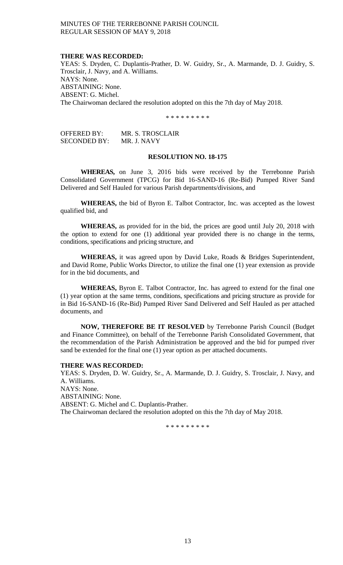## **THERE WAS RECORDED:**

YEAS: S. Dryden, C. Duplantis-Prather, D. W. Guidry, Sr., A. Marmande, D. J. Guidry, S. Trosclair, J. Navy, and A. Williams. NAYS: None. ABSTAINING: None. ABSENT: G. Michel. The Chairwoman declared the resolution adopted on this the 7th day of May 2018.

\* \* \* \* \* \* \* \* \*

| OFFERED BY:         | MR. S. TROSCLAIR |
|---------------------|------------------|
| <b>SECONDED BY:</b> | MR. J. NAVY      |

## **RESOLUTION NO. 18-175**

**WHEREAS,** on June 3, 2016 bids were received by the Terrebonne Parish Consolidated Government (TPCG) for Bid 16-SAND-16 (Re-Bid) Pumped River Sand Delivered and Self Hauled for various Parish departments/divisions, and

**WHEREAS,** the bid of Byron E. Talbot Contractor, Inc. was accepted as the lowest qualified bid, and

**WHEREAS,** as provided for in the bid, the prices are good until July 20, 2018 with the option to extend for one (1) additional year provided there is no change in the terms, conditions, specifications and pricing structure, and

**WHEREAS,** it was agreed upon by David Luke, Roads & Bridges Superintendent, and David Rome, Public Works Director, to utilize the final one (1) year extension as provide for in the bid documents, and

**WHEREAS,** Byron E. Talbot Contractor, Inc. has agreed to extend for the final one (1) year option at the same terms, conditions, specifications and pricing structure as provide for in Bid 16-SAND-16 (Re-Bid) Pumped River Sand Delivered and Self Hauled as per attached documents, and

**NOW, THEREFORE BE IT RESOLVED** by Terrebonne Parish Council (Budget and Finance Committee), on behalf of the Terrebonne Parish Consolidated Government, that the recommendation of the Parish Administration be approved and the bid for pumped river sand be extended for the final one (1) year option as per attached documents.

## **THERE WAS RECORDED:**

YEAS: S. Dryden, D. W. Guidry, Sr., A. Marmande, D. J. Guidry, S. Trosclair, J. Navy, and A. Williams.

NAYS: None. ABSTAINING: None. ABSENT: G. Michel and C. Duplantis-Prather. The Chairwoman declared the resolution adopted on this the 7th day of May 2018.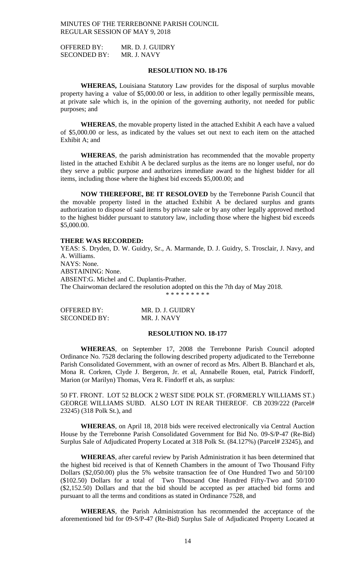OFFERED BY: MR. D. J. GUIDRY SECONDED BY: MR. J. NAVY

# **RESOLUTION NO. 18-176**

**WHEREAS,** Louisiana Statutory Law provides for the disposal of surplus movable property having a value of \$5,000.00 or less, in addition to other legally permissible means, at private sale which is, in the opinion of the governing authority, not needed for public purposes; and

**WHEREAS**, the movable property listed in the attached Exhibit A each have a valued of \$5,000.00 or less, as indicated by the values set out next to each item on the attached Exhibit A; and

**WHEREAS**, the parish administration has recommended that the movable property listed in the attached Exhibit A be declared surplus as the items are no longer useful, nor do they serve a public purpose and authorizes immediate award to the highest bidder for all items, including those where the highest bid exceeds \$5,000.00; and

**NOW THEREFORE, BE IT RESOLOVED** by the Terrebonne Parish Council that the movable property listed in the attached Exhibit A be declared surplus and grants authorization to dispose of said items by private sale or by any other legally approved method to the highest bidder pursuant to statutory law, including those where the highest bid exceeds \$5,000.00.

#### **THERE WAS RECORDED:**

YEAS: S. Dryden, D. W. Guidry, Sr., A. Marmande, D. J. Guidry, S. Trosclair, J. Navy, and A. Williams. NAYS: None. ABSTAINING: None. ABSENT:G. Michel and C. Duplantis-Prather. The Chairwoman declared the resolution adopted on this the 7th day of May 2018. \* \* \* \* \* \* \* \* \*

| OFFERED BY:         | MR. D. J. GUIDRY |
|---------------------|------------------|
| <b>SECONDED BY:</b> | MR. J. NAVY      |

# **RESOLUTION NO. 18-177**

**WHEREAS**, on September 17, 2008 the Terrebonne Parish Council adopted Ordinance No. 7528 declaring the following described property adjudicated to the Terrebonne Parish Consolidated Government, with an owner of record as Mrs. Albert B. Blanchard et als, Mona R. Corkren, Clyde J. Bergeron, Jr. et al, Annabelle Rouen, etal, Patrick Findorff, Marion (or Marilyn) Thomas, Vera R. Findorff et als, as surplus:

50 FT. FRONT. LOT 52 BLOCK 2 WEST SIDE POLK ST. (FORMERLY WILLIAMS ST.) GEORGE WILLIAMS SUBD. ALSO LOT IN REAR THEREOF. CB 2039/222 (Parcel# 23245) (318 Polk St.), and

**WHEREAS**, on April 18, 2018 bids were received electronically via Central Auction House by the Terrebonne Parish Consolidated Government for Bid No. 09-S/P-47 (Re-Bid) Surplus Sale of Adjudicated Property Located at 318 Polk St. (84.127%) (Parcel# 23245), and

**WHEREAS**, after careful review by Parish Administration it has been determined that the highest bid received is that of Kenneth Chambers in the amount of Two Thousand Fifty Dollars (\$2,050.00) plus the 5% website transaction fee of One Hundred Two and 50/100 (\$102.50) Dollars for a total of Two Thousand One Hundred Fifty-Two and 50/100 (\$2,152.50) Dollars and that the bid should be accepted as per attached bid forms and pursuant to all the terms and conditions as stated in Ordinance 7528, and

**WHEREAS**, the Parish Administration has recommended the acceptance of the aforementioned bid for 09-S/P-47 (Re-Bid) Surplus Sale of Adjudicated Property Located at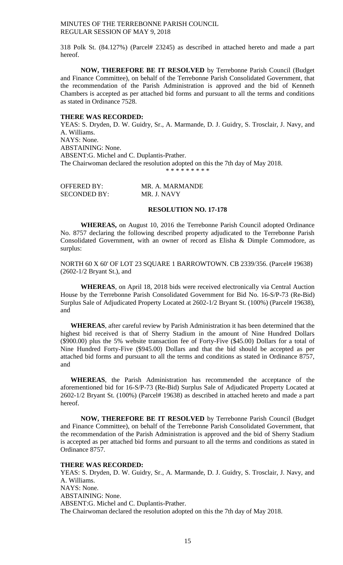318 Polk St. (84.127%) (Parcel# 23245) as described in attached hereto and made a part hereof.

**NOW, THEREFORE BE IT RESOLVED** by Terrebonne Parish Council (Budget and Finance Committee), on behalf of the Terrebonne Parish Consolidated Government, that the recommendation of the Parish Administration is approved and the bid of Kenneth Chambers is accepted as per attached bid forms and pursuant to all the terms and conditions as stated in Ordinance 7528.

#### **THERE WAS RECORDED:**

YEAS: S. Dryden, D. W. Guidry, Sr., A. Marmande, D. J. Guidry, S. Trosclair, J. Navy, and A. Williams. NAYS: None. ABSTAINING: None. ABSENT:G. Michel and C. Duplantis-Prather. The Chairwoman declared the resolution adopted on this the 7th day of May 2018. \* \* \* \* \* \* \* \* \*

| <b>OFFERED BY:</b>  | MR. A. MARMANDE |
|---------------------|-----------------|
| <b>SECONDED BY:</b> | MR. J. NAVY     |

## **RESOLUTION NO. 17-178**

**WHEREAS,** on August 10, 2016 the Terrebonne Parish Council adopted Ordinance No. 8757 declaring the following described property adjudicated to the Terrebonne Parish Consolidated Government, with an owner of record as Elisha & Dimple Commodore, as surplus:

NORTH 60 X 60' OF LOT 23 SQUARE 1 BARROWTOWN. CB 2339/356. (Parcel# 19638) (2602-1/2 Bryant St.), and

**WHEREAS**, on April 18, 2018 bids were received electronically via Central Auction House by the Terrebonne Parish Consolidated Government for Bid No. 16-S/P-73 (Re-Bid) Surplus Sale of Adjudicated Property Located at 2602-1/2 Bryant St. (100%) (Parcel# 19638), and

**WHEREAS**, after careful review by Parish Administration it has been determined that the highest bid received is that of Sherry Stadium in the amount of Nine Hundred Dollars (\$900.00) plus the 5% website transaction fee of Forty-Five (\$45.00) Dollars for a total of Nine Hundred Forty-Five (\$945.00) Dollars and that the bid should be accepted as per attached bid forms and pursuant to all the terms and conditions as stated in Ordinance 8757, and

**WHEREAS**, the Parish Administration has recommended the acceptance of the aforementioned bid for 16-S/P-73 (Re-Bid) Surplus Sale of Adjudicated Property Located at 2602-1/2 Bryant St. (100%) (Parcel# 19638) as described in attached hereto and made a part hereof.

**NOW, THEREFORE BE IT RESOLVED** by Terrebonne Parish Council (Budget and Finance Committee), on behalf of the Terrebonne Parish Consolidated Government, that the recommendation of the Parish Administration is approved and the bid of Sherry Stadium is accepted as per attached bid forms and pursuant to all the terms and conditions as stated in Ordinance 8757.

## **THERE WAS RECORDED:**

YEAS: S. Dryden, D. W. Guidry, Sr., A. Marmande, D. J. Guidry, S. Trosclair, J. Navy, and A. Williams. NAYS: None. ABSTAINING: None. ABSENT:G. Michel and C. Duplantis-Prather. The Chairwoman declared the resolution adopted on this the 7th day of May 2018.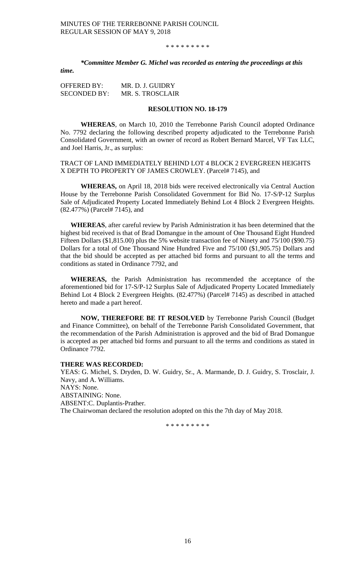\* \* \* \* \* \* \* \* \*

*\*Committee Member G. Michel was recorded as entering the proceedings at this time.*

OFFERED BY: MR. D. J. GUIDRY SECONDED BY: MR. S. TROSCLAIR

#### **RESOLUTION NO. 18-179**

**WHEREAS**, on March 10, 2010 the Terrebonne Parish Council adopted Ordinance No. 7792 declaring the following described property adjudicated to the Terrebonne Parish Consolidated Government, with an owner of record as Robert Bernard Marcel, VF Tax LLC, and Joel Harris, Jr., as surplus:

TRACT OF LAND IMMEDIATELY BEHIND LOT 4 BLOCK 2 EVERGREEN HEIGHTS X DEPTH TO PROPERTY OF JAMES CROWLEY. (Parcel# 7145), and

**WHEREAS,** on April 18, 2018 bids were received electronically via Central Auction House by the Terrebonne Parish Consolidated Government for Bid No. 17-S/P-12 Surplus Sale of Adjudicated Property Located Immediately Behind Lot 4 Block 2 Evergreen Heights. (82.477%) (Parcel# 7145), and

**WHEREAS**, after careful review by Parish Administration it has been determined that the highest bid received is that of Brad Domangue in the amount of One Thousand Eight Hundred Fifteen Dollars (\$1,815.00) plus the 5% website transaction fee of Ninety and 75/100 (\$90.75) Dollars for a total of One Thousand Nine Hundred Five and 75/100 (\$1,905.75) Dollars and that the bid should be accepted as per attached bid forms and pursuant to all the terms and conditions as stated in Ordinance 7792, and

**WHEREAS,** the Parish Administration has recommended the acceptance of the aforementioned bid for 17-S/P-12 Surplus Sale of Adjudicated Property Located Immediately Behind Lot 4 Block 2 Evergreen Heights. (82.477%) (Parcel# 7145) as described in attached hereto and made a part hereof.

**NOW, THEREFORE BE IT RESOLVED** by Terrebonne Parish Council (Budget and Finance Committee), on behalf of the Terrebonne Parish Consolidated Government, that the recommendation of the Parish Administration is approved and the bid of Brad Domangue is accepted as per attached bid forms and pursuant to all the terms and conditions as stated in Ordinance 7792.

## **THERE WAS RECORDED:**

YEAS: G. Michel, S. Dryden, D. W. Guidry, Sr., A. Marmande, D. J. Guidry, S. Trosclair, J. Navy, and A. Williams. NAYS: None. ABSTAINING: None. ABSENT:C. Duplantis-Prather. The Chairwoman declared the resolution adopted on this the 7th day of May 2018.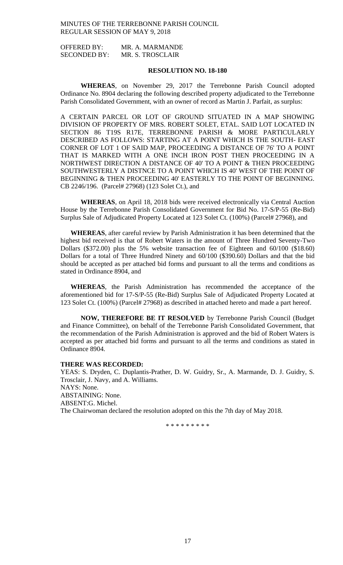| OFFERED BY:         | MR. A. MARMANDE  |
|---------------------|------------------|
| <b>SECONDED BY:</b> | MR. S. TROSCLAIR |

# **RESOLUTION NO. 18-180**

**WHEREAS**, on November 29, 2017 the Terrebonne Parish Council adopted Ordinance No. 8904 declaring the following described property adjudicated to the Terrebonne Parish Consolidated Government, with an owner of record as Martin J. Parfait, as surplus:

A CERTAIN PARCEL OR LOT OF GROUND SITUATED IN A MAP SHOWING DIVISION OF PROPERTY OF MRS. ROBERT SOLET, ETAL. SAID LOT LOCATED IN SECTION 86 T19S R17E, TERREBONNE PARISH & MORE PARTICULARLY DESCRIBED AS FOLLOWS: STARTING AT A POINT WHICH IS THE SOUTH- EAST CORNER OF LOT 1 OF SAID MAP, PROCEEDING A DISTANCE OF 76' TO A POINT THAT IS MARKED WITH A ONE INCH IRON POST THEN PROCEEDING IN A NORTHWEST DIRECTION A DISTANCE OF 40' TO A POINT & THEN PROCEEDING SOUTHWESTERLY A DISTNCE TO A POINT WHICH IS 40' WEST OF THE POINT OF BEGINNING & THEN PROCEEDING 40' EASTERLY TO THE POINT OF BEGINNING. CB 2246/196. (Parcel# 27968) (123 Solet Ct.), and

**WHEREAS**, on April 18, 2018 bids were received electronically via Central Auction House by the Terrebonne Parish Consolidated Government for Bid No. 17-S/P-55 (Re-Bid) Surplus Sale of Adjudicated Property Located at 123 Solet Ct. (100%) (Parcel# 27968), and

**WHEREAS**, after careful review by Parish Administration it has been determined that the highest bid received is that of Robert Waters in the amount of Three Hundred Seventy-Two Dollars (\$372.00) plus the 5% website transaction fee of Eighteen and 60/100 (\$18.60) Dollars for a total of Three Hundred Ninety and 60/100 (\$390.60) Dollars and that the bid should be accepted as per attached bid forms and pursuant to all the terms and conditions as stated in Ordinance 8904, and

**WHEREAS**, the Parish Administration has recommended the acceptance of the aforementioned bid for 17-S/P-55 (Re-Bid) Surplus Sale of Adjudicated Property Located at 123 Solet Ct. (100%) (Parcel# 27968) as described in attached hereto and made a part hereof.

**NOW, THEREFORE BE IT RESOLVED** by Terrebonne Parish Council (Budget and Finance Committee), on behalf of the Terrebonne Parish Consolidated Government, that the recommendation of the Parish Administration is approved and the bid of Robert Waters is accepted as per attached bid forms and pursuant to all the terms and conditions as stated in Ordinance 8904.

## **THERE WAS RECORDED:**

YEAS: S. Dryden, C. Duplantis-Prather, D. W. Guidry, Sr., A. Marmande, D. J. Guidry, S. Trosclair, J. Navy, and A. Williams. NAYS: None. ABSTAINING: None. ABSENT:G. Michel. The Chairwoman declared the resolution adopted on this the 7th day of May 2018.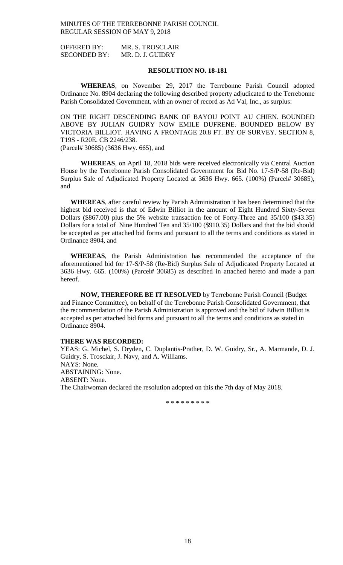OFFERED BY: MR. S. TROSCLAIR SECONDED BY: MR. D. J. GUIDRY

# **RESOLUTION NO. 18-181**

**WHEREAS**, on November 29, 2017 the Terrebonne Parish Council adopted Ordinance No. 8904 declaring the following described property adjudicated to the Terrebonne Parish Consolidated Government, with an owner of record as Ad Val, Inc., as surplus:

ON THE RIGHT DESCENDING BANK OF BAYOU POINT AU CHIEN. BOUNDED ABOVE BY JULIAN GUIDRY NOW EMILE DUFRENE. BOUNDED BELOW BY VICTORIA BILLIOT. HAVING A FRONTAGE 20.8 FT. BY OF SURVEY. SECTION 8, T19S - R20E. CB 2246/238.

(Parcel# 30685) (3636 Hwy. 665), and

**WHEREAS**, on April 18, 2018 bids were received electronically via Central Auction House by the Terrebonne Parish Consolidated Government for Bid No. 17-S/P-58 (Re-Bid) Surplus Sale of Adjudicated Property Located at 3636 Hwy. 665. (100%) (Parcel# 30685), and

**WHEREAS**, after careful review by Parish Administration it has been determined that the highest bid received is that of Edwin Billiot in the amount of Eight Hundred Sixty-Seven Dollars (\$867.00) plus the 5% website transaction fee of Forty-Three and 35/100 (\$43.35) Dollars for a total of Nine Hundred Ten and 35/100 (\$910.35) Dollars and that the bid should be accepted as per attached bid forms and pursuant to all the terms and conditions as stated in Ordinance 8904, and

**WHEREAS**, the Parish Administration has recommended the acceptance of the aforementioned bid for 17-S/P-58 (Re-Bid) Surplus Sale of Adjudicated Property Located at 3636 Hwy. 665. (100%) (Parcel# 30685) as described in attached hereto and made a part hereof.

**NOW, THEREFORE BE IT RESOLVED** by Terrebonne Parish Council (Budget and Finance Committee), on behalf of the Terrebonne Parish Consolidated Government, that the recommendation of the Parish Administration is approved and the bid of Edwin Billiot is accepted as per attached bid forms and pursuant to all the terms and conditions as stated in Ordinance 8904.

## **THERE WAS RECORDED:**

YEAS: G. Michel, S. Dryden, C. Duplantis-Prather, D. W. Guidry, Sr., A. Marmande, D. J. Guidry, S. Trosclair, J. Navy, and A. Williams. NAYS: None. ABSTAINING: None. ABSENT: None. The Chairwoman declared the resolution adopted on this the 7th day of May 2018.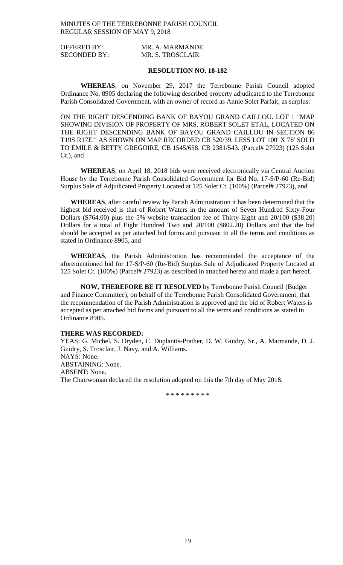| <b>OFFERED BY:</b>  | MR. A. MARMANDE  |
|---------------------|------------------|
| <b>SECONDED BY:</b> | MR. S. TROSCLAIR |

# **RESOLUTION NO. 18-182**

**WHEREAS**, on November 29, 2017 the Terrebonne Parish Council adopted Ordinance No. 8905 declaring the following described property adjudicated to the Terrebonne Parish Consolidated Government, with an owner of record as Annie Solet Parfait, as surplus:

ON THE RIGHT DESCENDING BANK OF BAYOU GRAND CAILLOU. LOT 1 "MAP SHOWING DIVISION OF PROPERTY OF MRS. ROBERT SOLET ETAL, LOCATED ON THE RIGHT DESCENDING BANK OF BAYOU GRAND CAILLOU IN SECTION 86 T19S R17E." AS SHOWN ON MAP RECORDED CB 520/39. LESS LOT 100' X 76' SOLD TO EMILE & BETTY GREGOIRE, CB 1545/658. CB 2381/543. (Parcel# 27923) (125 Solet Ct.), and

**WHEREAS**, on April 18, 2018 bids were received electronically via Central Auction House by the Terrebonne Parish Consolidated Government for Bid No. 17-S/P-60 (Re-Bid) Surplus Sale of Adjudicated Property Located at 125 Solet Ct. (100%) (Parcel# 27923), and

**WHEREAS**, after careful review by Parish Administration it has been determined that the highest bid received is that of Robert Waters in the amount of Seven Hundred Sixty-Four Dollars (\$764.00) plus the 5% website transaction fee of Thirty-Eight and 20/100 (\$38.20) Dollars for a total of Eight Hundred Two and 20/100 (\$802.20) Dollars and that the bid should be accepted as per attached bid forms and pursuant to all the terms and conditions as stated in Ordinance 8905, and

**WHEREAS**, the Parish Administration has recommended the acceptance of the aforementioned bid for 17-S/P-60 (Re-Bid) Surplus Sale of Adjudicated Property Located at 125 Solet Ct. (100%) (Parcel# 27923) as described in attached hereto and made a part hereof.

**NOW, THEREFORE BE IT RESOLVED** by Terrebonne Parish Council (Budget and Finance Committee), on behalf of the Terrebonne Parish Consolidated Government, that the recommendation of the Parish Administration is approved and the bid of Robert Waters is accepted as per attached bid forms and pursuant to all the terms and conditions as stated in Ordinance 8905.

## **THERE WAS RECORDED:**

YEAS: G. Michel, S. Dryden, C. Duplantis-Prather, D. W. Guidry, Sr., A. Marmande, D. J. Guidry, S. Trosclair, J. Navy, and A. Williams. NAYS: None. ABSTAINING: None. ABSENT: None. The Chairwoman declared the resolution adopted on this the 7th day of May 2018.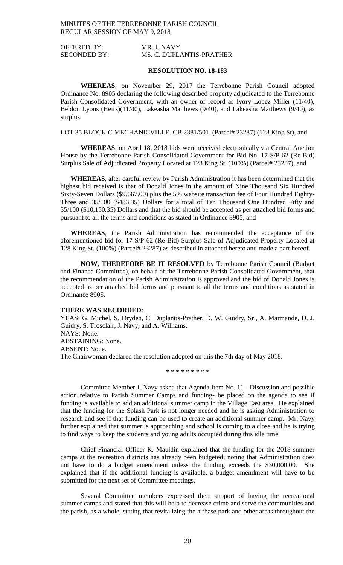OFFERED BY: MR. J. NAVY SECONDED BY: MS. C. DUPLANTIS-PRATHER

## **RESOLUTION NO. 18-183**

**WHEREAS**, on November 29, 2017 the Terrebonne Parish Council adopted Ordinance No. 8905 declaring the following described property adjudicated to the Terrebonne Parish Consolidated Government, with an owner of record as Ivory Lopez Miller (11/40), Beldon Lyons (Heirs)(11/40), Lakeasha Matthews (9/40), and Lakeasha Matthews (9/40), as surplus:

LOT 35 BLOCK C MECHANICVILLE. CB 2381/501. (Parcel# 23287) (128 King St), and

**WHEREAS**, on April 18, 2018 bids were received electronically via Central Auction House by the Terrebonne Parish Consolidated Government for Bid No. 17-S/P-62 (Re-Bid) Surplus Sale of Adjudicated Property Located at 128 King St. (100%) (Parcel# 23287), and

**WHEREAS**, after careful review by Parish Administration it has been determined that the highest bid received is that of Donald Jones in the amount of Nine Thousand Six Hundred Sixty-Seven Dollars (\$9,667.00) plus the 5% website transaction fee of Four Hundred Eighty-Three and 35/100 (\$483.35) Dollars for a total of Ten Thousand One Hundred Fifty and 35/100 (\$10,150.35) Dollars and that the bid should be accepted as per attached bid forms and pursuant to all the terms and conditions as stated in Ordinance 8905, and

**WHEREAS**, the Parish Administration has recommended the acceptance of the aforementioned bid for 17-S/P-62 (Re-Bid) Surplus Sale of Adjudicated Property Located at 128 King St. (100%) (Parcel# 23287) as described in attached hereto and made a part hereof.

**NOW, THEREFORE BE IT RESOLVED** by Terrebonne Parish Council (Budget and Finance Committee), on behalf of the Terrebonne Parish Consolidated Government, that the recommendation of the Parish Administration is approved and the bid of Donald Jones is accepted as per attached bid forms and pursuant to all the terms and conditions as stated in Ordinance 8905.

#### **THERE WAS RECORDED:**

YEAS: G. Michel, S. Dryden, C. Duplantis-Prather, D. W. Guidry, Sr., A. Marmande, D. J. Guidry, S. Trosclair, J. Navy, and A. Williams. NAYS: None. ABSTAINING: None. ABSENT: None. The Chairwoman declared the resolution adopted on this the 7th day of May 2018.

\* \* \* \* \* \* \* \* \*

Committee Member J. Navy asked that Agenda Item No. 11 - Discussion and possible action relative to Parish Summer Camps and funding- be placed on the agenda to see if funding is available to add an additional summer camp in the Village East area. He explained that the funding for the Splash Park is not longer needed and he is asking Administration to research and see if that funding can be used to create an additional summer camp. Mr. Navy further explained that summer is approaching and school is coming to a close and he is trying to find ways to keep the students and young adults occupied during this idle time.

Chief Financial Officer K. Mauldin explained that the funding for the 2018 summer camps at the recreation districts has already been budgeted; noting that Administration does not have to do a budget amendment unless the funding exceeds the \$30,000.00. She explained that if the additional funding is available, a budget amendment will have to be submitted for the next set of Committee meetings.

Several Committee members expressed their support of having the recreational summer camps and stated that this will help to decrease crime and serve the communities and the parish, as a whole; stating that revitalizing the airbase park and other areas throughout the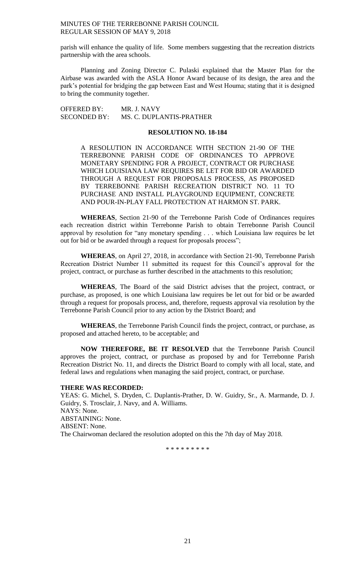parish will enhance the quality of life. Some members suggesting that the recreation districts partnership with the area schools.

Planning and Zoning Director C. Pulaski explained that the Master Plan for the Airbase was awarded with the ASLA Honor Award because of its design, the area and the park's potential for bridging the gap between East and West Houma; stating that it is designed to bring the community together.

OFFERED BY: MR. J. NAVY SECONDED BY: MS. C. DUPLANTIS-PRATHER

## **RESOLUTION NO. 18-184**

A RESOLUTION IN ACCORDANCE WITH SECTION 21-90 OF THE TERREBONNE PARISH CODE OF ORDINANCES TO APPROVE MONETARY SPENDING FOR A PROJECT, CONTRACT OR PURCHASE WHICH LOUISIANA LAW REQUIRES BE LET FOR BID OR AWARDED THROUGH A REQUEST FOR PROPOSALS PROCESS, AS PROPOSED BY TERREBONNE PARISH RECREATION DISTRICT NO. 11 TO PURCHASE AND INSTALL PLAYGROUND EQUIPMENT, CONCRETE AND POUR-IN-PLAY FALL PROTECTION AT HARMON ST. PARK.

**WHEREAS**, Section 21-90 of the Terrebonne Parish Code of Ordinances requires each recreation district within Terrebonne Parish to obtain Terrebonne Parish Council approval by resolution for "any monetary spending . . . which Louisiana law requires be let out for bid or be awarded through a request for proposals process";

**WHEREAS**, on April 27, 2018, in accordance with Section 21-90, Terrebonne Parish Recreation District Number 11 submitted its request for this Council's approval for the project, contract, or purchase as further described in the attachments to this resolution;

**WHEREAS**, The Board of the said District advises that the project, contract, or purchase, as proposed, is one which Louisiana law requires be let out for bid or be awarded through a request for proposals process, and, therefore, requests approval via resolution by the Terrebonne Parish Council prior to any action by the District Board; and

**WHEREAS**, the Terrebonne Parish Council finds the project, contract, or purchase, as proposed and attached hereto, to be acceptable; and

**NOW THEREFORE, BE IT RESOLVED** that the Terrebonne Parish Council approves the project, contract, or purchase as proposed by and for Terrebonne Parish Recreation District No. 11, and directs the District Board to comply with all local, state, and federal laws and regulations when managing the said project, contract, or purchase.

#### **THERE WAS RECORDED:**

YEAS: G. Michel, S. Dryden, C. Duplantis-Prather, D. W. Guidry, Sr., A. Marmande, D. J. Guidry, S. Trosclair, J. Navy, and A. Williams. NAYS: None. ABSTAINING: None. ABSENT: None. The Chairwoman declared the resolution adopted on this the 7th day of May 2018.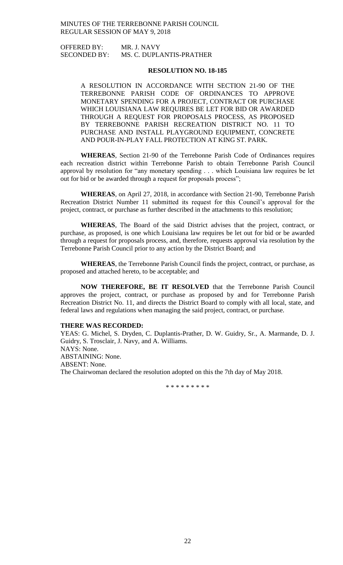OFFERED BY: MR. J. NAVY SECONDED BY: MS. C. DUPLANTIS-PRATHER

## **RESOLUTION NO. 18-185**

A RESOLUTION IN ACCORDANCE WITH SECTION 21-90 OF THE TERREBONNE PARISH CODE OF ORDINANCES TO APPROVE MONETARY SPENDING FOR A PROJECT, CONTRACT OR PURCHASE WHICH LOUISIANA LAW REQUIRES BE LET FOR BID OR AWARDED THROUGH A REQUEST FOR PROPOSALS PROCESS, AS PROPOSED BY TERREBONNE PARISH RECREATION DISTRICT NO. 11 TO PURCHASE AND INSTALL PLAYGROUND EQUIPMENT, CONCRETE AND POUR-IN-PLAY FALL PROTECTION AT KING ST. PARK.

**WHEREAS**, Section 21-90 of the Terrebonne Parish Code of Ordinances requires each recreation district within Terrebonne Parish to obtain Terrebonne Parish Council approval by resolution for "any monetary spending . . . which Louisiana law requires be let out for bid or be awarded through a request for proposals process";

**WHEREAS**, on April 27, 2018, in accordance with Section 21-90, Terrebonne Parish Recreation District Number 11 submitted its request for this Council's approval for the project, contract, or purchase as further described in the attachments to this resolution;

**WHEREAS**, The Board of the said District advises that the project, contract, or purchase, as proposed, is one which Louisiana law requires be let out for bid or be awarded through a request for proposals process, and, therefore, requests approval via resolution by the Terrebonne Parish Council prior to any action by the District Board; and

**WHEREAS**, the Terrebonne Parish Council finds the project, contract, or purchase, as proposed and attached hereto, to be acceptable; and

**NOW THEREFORE, BE IT RESOLVED** that the Terrebonne Parish Council approves the project, contract, or purchase as proposed by and for Terrebonne Parish Recreation District No. 11, and directs the District Board to comply with all local, state, and federal laws and regulations when managing the said project, contract, or purchase.

#### **THERE WAS RECORDED:**

YEAS: G. Michel, S. Dryden, C. Duplantis-Prather, D. W. Guidry, Sr., A. Marmande, D. J. Guidry, S. Trosclair, J. Navy, and A. Williams. NAYS: None. ABSTAINING: None. ABSENT: None. The Chairwoman declared the resolution adopted on this the 7th day of May 2018.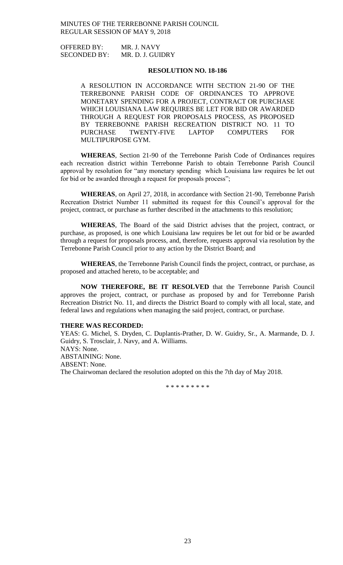OFFERED BY: MR. J. NAVY SECONDED BY: MR. D. J. GUIDRY

# **RESOLUTION NO. 18-186**

A RESOLUTION IN ACCORDANCE WITH SECTION 21-90 OF THE TERREBONNE PARISH CODE OF ORDINANCES TO APPROVE MONETARY SPENDING FOR A PROJECT, CONTRACT OR PURCHASE WHICH LOUISIANA LAW REQUIRES BE LET FOR BID OR AWARDED THROUGH A REQUEST FOR PROPOSALS PROCESS, AS PROPOSED BY TERREBONNE PARISH RECREATION DISTRICT NO. 11 TO PURCHASE TWENTY-FIVE LAPTOP COMPUTERS FOR MULTIPURPOSE GYM.

**WHEREAS**, Section 21-90 of the Terrebonne Parish Code of Ordinances requires each recreation district within Terrebonne Parish to obtain Terrebonne Parish Council approval by resolution for "any monetary spending which Louisiana law requires be let out for bid or be awarded through a request for proposals process";

**WHEREAS**, on April 27, 2018, in accordance with Section 21-90, Terrebonne Parish Recreation District Number 11 submitted its request for this Council's approval for the project, contract, or purchase as further described in the attachments to this resolution;

**WHEREAS**, The Board of the said District advises that the project, contract, or purchase, as proposed, is one which Louisiana law requires be let out for bid or be awarded through a request for proposals process, and, therefore, requests approval via resolution by the Terrebonne Parish Council prior to any action by the District Board; and

**WHEREAS**, the Terrebonne Parish Council finds the project, contract, or purchase, as proposed and attached hereto, to be acceptable; and

**NOW THEREFORE, BE IT RESOLVED** that the Terrebonne Parish Council approves the project, contract, or purchase as proposed by and for Terrebonne Parish Recreation District No. 11, and directs the District Board to comply with all local, state, and federal laws and regulations when managing the said project, contract, or purchase.

#### **THERE WAS RECORDED:**

YEAS: G. Michel, S. Dryden, C. Duplantis-Prather, D. W. Guidry, Sr., A. Marmande, D. J. Guidry, S. Trosclair, J. Navy, and A. Williams. NAYS: None. ABSTAINING: None. ABSENT: None. The Chairwoman declared the resolution adopted on this the 7th day of May 2018.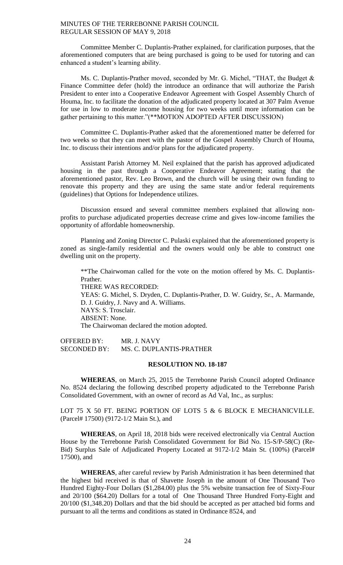Committee Member C. Duplantis-Prather explained, for clarification purposes, that the aforementioned computers that are being purchased is going to be used for tutoring and can enhanced a student's learning ability.

Ms. C. Duplantis-Prather moved, seconded by Mr. G. Michel, "THAT, the Budget & Finance Committee defer (hold) the introduce an ordinance that will authorize the Parish President to enter into a Cooperative Endeavor Agreement with Gospel Assembly Church of Houma, Inc. to facilitate the donation of the adjudicated property located at 307 Palm Avenue for use in low to moderate income housing for two weeks until more information can be gather pertaining to this matter."(\*\*MOTION ADOPTED AFTER DISCUSSION)

Committee C. Duplantis-Prather asked that the aforementioned matter be deferred for two weeks so that they can meet with the pastor of the Gospel Assembly Church of Houma, Inc. to discuss their intentions and/or plans for the adjudicated property.

Assistant Parish Attorney M. Neil explained that the parish has approved adjudicated housing in the past through a Cooperative Endeavor Agreement; stating that the aforementioned pastor, Rev. Leo Brown, and the church will be using their own funding to renovate this property and they are using the same state and/or federal requirements (guidelines) that Options for Independence utilizes.

Discussion ensued and several committee members explained that allowing nonprofits to purchase adjudicated properties decrease crime and gives low-income families the opportunity of affordable homeownership.

Planning and Zoning Director C. Pulaski explained that the aforementioned property is zoned as single-family residential and the owners would only be able to construct one dwelling unit on the property.

\*\*The Chairwoman called for the vote on the motion offered by Ms. C. Duplantis-Prather. THERE WAS RECORDED: YEAS: G. Michel, S. Dryden, C. Duplantis-Prather, D. W. Guidry, Sr., A. Marmande, D. J. Guidry, J. Navy and A. Williams. NAYS: S. Trosclair. ABSENT: None. The Chairwoman declared the motion adopted.

OFFERED BY: MR. J. NAVY SECONDED BY: MS. C. DUPLANTIS-PRATHER

## **RESOLUTION NO. 18-187**

**WHEREAS**, on March 25, 2015 the Terrebonne Parish Council adopted Ordinance No. 8524 declaring the following described property adjudicated to the Terrebonne Parish Consolidated Government, with an owner of record as Ad Val, Inc., as surplus:

LOT 75 X 50 FT. BEING PORTION OF LOTS 5 & 6 BLOCK E MECHANICVILLE. (Parcel# 17500) (9172-1/2 Main St.), and

**WHEREAS**, on April 18, 2018 bids were received electronically via Central Auction House by the Terrebonne Parish Consolidated Government for Bid No. 15-S/P-58(C) (Re-Bid) Surplus Sale of Adjudicated Property Located at 9172-1/2 Main St. (100%) (Parcel# 17500), and

**WHEREAS**, after careful review by Parish Administration it has been determined that the highest bid received is that of Shavette Joseph in the amount of One Thousand Two Hundred Eighty-Four Dollars (\$1,284.00) plus the 5% website transaction fee of Sixty-Four and 20/100 (\$64.20) Dollars for a total of One Thousand Three Hundred Forty-Eight and 20/100 (\$1,348.20) Dollars and that the bid should be accepted as per attached bid forms and pursuant to all the terms and conditions as stated in Ordinance 8524, and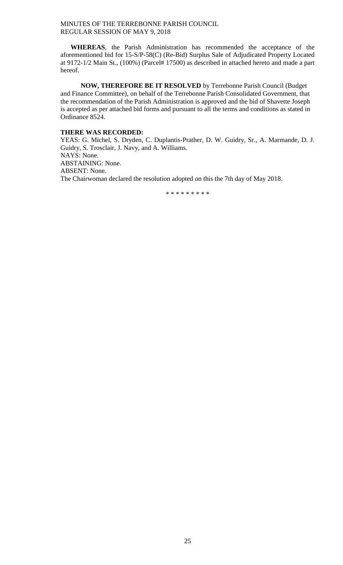**WHEREAS**, the Parish Administration has recommended the acceptance of the aforementioned bid for 15-S/P-58(C) (Re-Bid) Surplus Sale of Adjudicated Property Located at 9172-1/2 Main St., (100%) (Parcel# 17500) as described in attached hereto and made a part hereof.

**NOW, THEREFORE BE IT RESOLVED** by Terrebonne Parish Council (Budget and Finance Committee), on behalf of the Terrebonne Parish Consolidated Government, that the recommendation of the Parish Administration is approved and the bid of Shavette Joseph is accepted as per attached bid forms and pursuant to all the terms and conditions as stated in Ordinance 8524.

# **THERE WAS RECORDED:**

YEAS: G. Michel, S. Dryden, C. Duplantis-Prather, D. W. Guidry, Sr., A. Marmande, D. J. Guidry, S. Trosclair, J. Navy, and A. Williams. NAYS: None. ABSTAINING: None. ABSENT: None.

The Chairwoman declared the resolution adopted on this the 7th day of May 2018.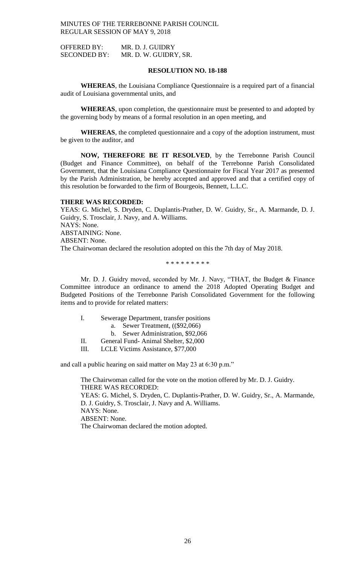OFFERED BY: MR. D. J. GUIDRY SECONDED BY: MR. D. W. GUIDRY, SR.

# **RESOLUTION NO. 18-188**

**WHEREAS**, the Louisiana Compliance Questionnaire is a required part of a financial audit of Louisiana governmental units, and

**WHEREAS**, upon completion, the questionnaire must be presented to and adopted by the governing body by means of a formal resolution in an open meeting, and

**WHEREAS**, the completed questionnaire and a copy of the adoption instrument, must be given to the auditor, and

**NOW, THEREFORE BE IT RESOLVED**, by the Terrebonne Parish Council (Budget and Finance Committee), on behalf of the Terrebonne Parish Consolidated Government, that the Louisiana Compliance Questionnaire for Fiscal Year 2017 as presented by the Parish Administration, be hereby accepted and approved and that a certified copy of this resolution be forwarded to the firm of Bourgeois, Bennett, L.L.C.

# **THERE WAS RECORDED:**

YEAS: G. Michel, S. Dryden, C. Duplantis-Prather, D. W. Guidry, Sr., A. Marmande, D. J. Guidry, S. Trosclair, J. Navy, and A. Williams. NAYS: None. ABSTAINING: None. ABSENT: None. The Chairwoman declared the resolution adopted on this the 7th day of May 2018.

\* \* \* \* \* \* \* \* \*

Mr. D. J. Guidry moved, seconded by Mr. J. Navy, "THAT, the Budget & Finance Committee introduce an ordinance to amend the 2018 Adopted Operating Budget and Budgeted Positions of the Terrebonne Parish Consolidated Government for the following items and to provide for related matters:

- I. Sewerage Department, transfer positions
	- a. Sewer Treatment, ((\$92,066)

b. Sewer Administration, \$92,066

- II. General Fund- Animal Shelter, \$2,000
- III. LCLE Victims Assistance, \$77,000

and call a public hearing on said matter on May 23 at 6:30 p.m."

The Chairwoman called for the vote on the motion offered by Mr. D. J. Guidry. THERE WAS RECORDED: YEAS: G. Michel, S. Dryden, C. Duplantis-Prather, D. W. Guidry, Sr., A. Marmande, D. J. Guidry, S. Trosclair, J. Navy and A. Williams. NAYS: None. ABSENT: None. The Chairwoman declared the motion adopted.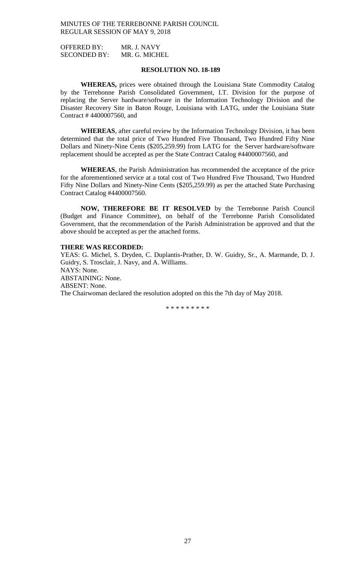OFFERED BY: MR. J. NAVY SECONDED BY: MR. G. MICHEL

# **RESOLUTION NO. 18-189**

**WHEREAS,** prices were obtained through the Louisiana State Commodity Catalog by the Terrebonne Parish Consolidated Government, I.T. Division for the purpose of replacing the Server hardware/software in the Information Technology Division and the Disaster Recovery Site in Baton Rouge, Louisiana with LATG, under the Louisiana State Contract # 4400007560, and

**WHEREAS**, after careful review by the Information Technology Division, it has been determined that the total price of Two Hundred Five Thousand, Two Hundred Fifty Nine Dollars and Ninety-Nine Cents (\$205,259.99) from LATG for the Server hardware/software replacement should be accepted as per the State Contract Catalog #4400007560, and

**WHEREAS**, the Parish Administration has recommended the acceptance of the price for the aforementioned service at a total cost of Two Hundred Five Thousand, Two Hundred Fifty Nine Dollars and Ninety-Nine Cents (\$205,259.99) as per the attached State Purchasing Contract Catalog #4400007560.

**NOW, THEREFORE BE IT RESOLVED** by the Terrebonne Parish Council (Budget and Finance Committee), on behalf of the Terrebonne Parish Consolidated Government, that the recommendation of the Parish Administration be approved and that the above should be accepted as per the attached forms.

## **THERE WAS RECORDED:**

YEAS: G. Michel, S. Dryden, C. Duplantis-Prather, D. W. Guidry, Sr., A. Marmande, D. J. Guidry, S. Trosclair, J. Navy, and A. Williams. NAYS: None. ABSTAINING: None. ABSENT: None. The Chairwoman declared the resolution adopted on this the 7th day of May 2018.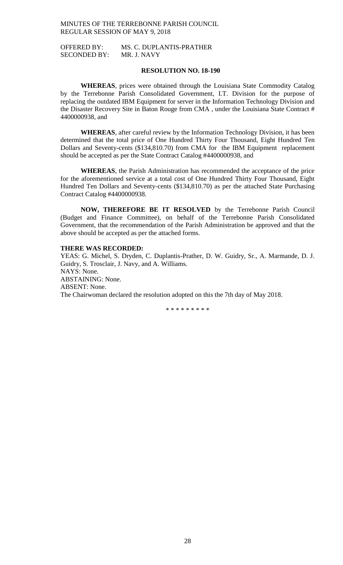OFFERED BY: MS. C. DUPLANTIS-PRATHER SECONDED BY: MR. J. NAVY

# **RESOLUTION NO. 18-190**

**WHEREAS**, prices were obtained through the Louisiana State Commodity Catalog by the Terrebonne Parish Consolidated Government, I.T. Division for the purpose of replacing the outdated IBM Equipment for server in the Information Technology Division and the Disaster Recovery Site in Baton Rouge from CMA , under the Louisiana State Contract # 4400000938, and

**WHEREAS**, after careful review by the Information Technology Division, it has been determined that the total price of One Hundred Thirty Four Thousand, Eight Hundred Ten Dollars and Seventy-cents (\$134,810.70) from CMA for the IBM Equipment replacement should be accepted as per the State Contract Catalog #4400000938, and

**WHEREAS**, the Parish Administration has recommended the acceptance of the price for the aforementioned service at a total cost of One Hundred Thirty Four Thousand, Eight Hundred Ten Dollars and Seventy-cents (\$134,810.70) as per the attached State Purchasing Contract Catalog #4400000938.

**NOW, THEREFORE BE IT RESOLVED** by the Terrebonne Parish Council (Budget and Finance Committee), on behalf of the Terrebonne Parish Consolidated Government, that the recommendation of the Parish Administration be approved and that the above should be accepted as per the attached forms.

## **THERE WAS RECORDED:**

YEAS: G. Michel, S. Dryden, C. Duplantis-Prather, D. W. Guidry, Sr., A. Marmande, D. J. Guidry, S. Trosclair, J. Navy, and A. Williams. NAYS: None. ABSTAINING: None. ABSENT: None. The Chairwoman declared the resolution adopted on this the 7th day of May 2018.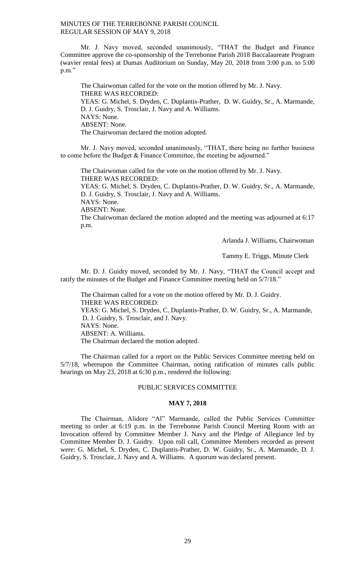Mr. J. Navy moved, seconded unanimously, "THAT the Budget and Finance Committee approve the co-sponsorship of the Terrebonne Parish 2018 Baccalaureate Program (wavier rental fees) at Dumas Auditorium on Sunday, May 20, 2018 from 3:00 p.m. to 5:00 p.m."

The Chairwoman called for the vote on the motion offered by Mr. J. Navy. THERE WAS RECORDED: YEAS: G. Michel, S. Dryden, C. Duplantis-Prather, D. W. Guidry, Sr., A. Marmande, D. J. Guidry, S. Trosclair, J. Navy and A. Williams. NAYS: None. ABSENT: None. The Chairwoman declared the motion adopted.

Mr. J. Navy moved, seconded unanimously, "THAT, there being no further business to come before the Budget & Finance Committee, the meeting be adjourned."

The Chairwoman called for the vote on the motion offered by Mr. J. Navy. THERE WAS RECORDED:

YEAS: G. Michel, S. Dryden, C. Duplantis-Prather, D. W. Guidry, Sr., A. Marmande, D. J. Guidry, S. Trosclair, J. Navy and A. Williams.

NAYS: None.

ABSENT: None.

The Chairwoman declared the motion adopted and the meeting was adjourned at 6:17 p.m.

Arlanda J. Williams, Chairwoman

Tammy E. Triggs, Minute Clerk

Mr. D. J. Guidry moved, seconded by Mr. J. Navy, "THAT the Council accept and ratify the minutes of the Budget and Finance Committee meeting held on 5/7/18."

The Chairman called for a vote on the motion offered by Mr. D. J. Guidry. THERE WAS RECORDED: YEAS: G. Michel, S. Dryden, C. Duplantis-Prather, D. W. Guidry, Sr., A. Marmande, D. J. Guidry, S. Trosclair, and J. Navy. NAYS: None. ABSENT: A. Williams. The Chairman declared the motion adopted.

The Chairman called for a report on the Public Services Committee meeting held on 5/7/18, whereupon the Committee Chairman, noting ratification of minutes calls public hearings on May 23, 2018 at 6:30 p.m., rendered the following:

# PUBLIC SERVICES COMMITTEE

## **MAY 7, 2018**

The Chairman, Alidore "Al" Marmande, called the Public Services Committee meeting to order at 6:19 p.m. in the Terrebonne Parish Council Meeting Room with an Invocation offered by Committee Member J. Navy and the Pledge of Allegiance led by Committee Member D. J. Guidry. Upon roll call, Committee Members recorded as present were: G. Michel, S. Dryden, C. Duplantis-Prather, D. W. Guidry, Sr., A. Marmande, D. J. Guidry, S. Trosclair, J. Navy and A. Williams. A quorum was declared present.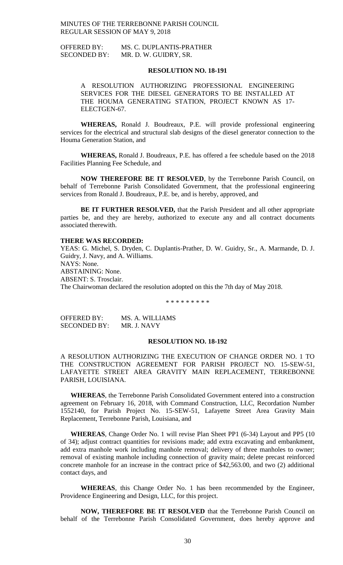OFFERED BY: MS. C. DUPLANTIS-PRATHER SECONDED BY: MR. D. W. GUIDRY, SR.

## **RESOLUTION NO. 18-191**

A RESOLUTION AUTHORIZING PROFESSIONAL ENGINEERING SERVICES FOR THE DIESEL GENERATORS TO BE INSTALLED AT THE HOUMA GENERATING STATION, PROJECT KNOWN AS 17- ELECTGEN-67.

**WHEREAS,** Ronald J. Boudreaux, P.E. will provide professional engineering services for the electrical and structural slab designs of the diesel generator connection to the Houma Generation Station, and

**WHEREAS,** Ronald J. Boudreaux, P.E. has offered a fee schedule based on the 2018 Facilities Planning Fee Schedule, and

**NOW THEREFORE BE IT RESOLVED**, by the Terrebonne Parish Council, on behalf of Terrebonne Parish Consolidated Government, that the professional engineering services from Ronald J. Boudreaux, P.E. be, and is hereby, approved, and

**BE IT FURTHER RESOLVED,** that the Parish President and all other appropriate parties be, and they are hereby, authorized to execute any and all contract documents associated therewith.

#### **THERE WAS RECORDED:**

YEAS: G. Michel, S. Dryden, C. Duplantis-Prather, D. W. Guidry, Sr., A. Marmande, D. J. Guidry, J. Navy, and A. Williams. NAYS: None. ABSTAINING: None. ABSENT: S. Trosclair. The Chairwoman declared the resolution adopted on this the 7th day of May 2018.

\* \* \* \* \* \* \* \* \*

OFFERED BY: MS. A. WILLIAMS SECONDED BY: MR. J. NAVY

# **RESOLUTION NO. 18-192**

A RESOLUTION AUTHORIZING THE EXECUTION OF CHANGE ORDER NO. 1 TO THE CONSTRUCTION AGREEMENT FOR PARISH PROJECT NO. 15-SEW-51, LAFAYETTE STREET AREA GRAVITY MAIN REPLACEMENT, TERREBONNE PARISH, LOUISIANA.

**WHEREAS**, the Terrebonne Parish Consolidated Government entered into a construction agreement on February 16, 2018, with Command Construction, LLC, Recordation Number 1552140, for Parish Project No. 15-SEW-51, Lafayette Street Area Gravity Main Replacement, Terrebonne Parish, Louisiana, and

**WHEREAS**, Change Order No. 1 will revise Plan Sheet PP1 (6-34) Layout and PP5 (10 of 34); adjust contract quantities for revisions made; add extra excavating and embankment, add extra manhole work including manhole removal; delivery of three manholes to owner; removal of existing manhole including connection of gravity main; delete precast reinforced concrete manhole for an increase in the contract price of \$42,563.00, and two (2) additional contact days, and

**WHEREAS**, this Change Order No. 1 has been recommended by the Engineer, Providence Engineering and Design, LLC, for this project.

**NOW, THEREFORE BE IT RESOLVED** that the Terrebonne Parish Council on behalf of the Terrebonne Parish Consolidated Government, does hereby approve and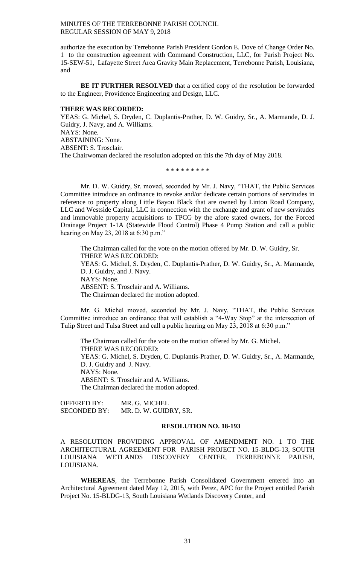authorize the execution by Terrebonne Parish President Gordon E. Dove of Change Order No. 1 to the construction agreement with Command Construction, LLC, for Parish Project No. 15-SEW-51, Lafayette Street Area Gravity Main Replacement, Terrebonne Parish, Louisiana, and

**BE IT FURTHER RESOLVED** that a certified copy of the resolution be forwarded to the Engineer, Providence Engineering and Design, LLC.

## **THERE WAS RECORDED:**

YEAS: G. Michel, S. Dryden, C. Duplantis-Prather, D. W. Guidry, Sr., A. Marmande, D. J. Guidry, J. Navy, and A. Williams. NAYS: None. ABSTAINING: None. ABSENT: S. Trosclair.

The Chairwoman declared the resolution adopted on this the 7th day of May 2018.

\* \* \* \* \* \* \* \* \*

Mr. D. W. Guidry, Sr. moved, seconded by Mr. J. Navy, "THAT, the Public Services Committee introduce an ordinance to revoke and/or dedicate certain portions of servitudes in reference to property along Little Bayou Black that are owned by Linton Road Company, LLC and Westside Capital, LLC in connection with the exchange and grant of new servitudes and immovable property acquisitions to TPCG by the afore stated owners, for the Forced Drainage Project 1-1A (Statewide Flood Control) Phase 4 Pump Station and call a public hearing on May 23, 2018 at 6:30 p.m."

The Chairman called for the vote on the motion offered by Mr. D. W. Guidry, Sr. THERE WAS RECORDED: YEAS: G. Michel, S. Dryden, C. Duplantis-Prather, D. W. Guidry, Sr., A. Marmande, D. J. Guidry, and J. Navy. NAYS: None. ABSENT: S. Trosclair and A. Williams. The Chairman declared the motion adopted.

Mr. G. Michel moved, seconded by Mr. J. Navy, "THAT, the Public Services Committee introduce an ordinance that will establish a "4-Way Stop" at the intersection of Tulip Street and Tulsa Street and call a public hearing on May 23, 2018 at 6:30 p.m."

The Chairman called for the vote on the motion offered by Mr. G. Michel. THERE WAS RECORDED: YEAS: G. Michel, S. Dryden, C. Duplantis-Prather, D. W. Guidry, Sr., A. Marmande, D. J. Guidry and J. Navy. NAYS: None. ABSENT: S. Trosclair and A. Williams. The Chairman declared the motion adopted.

OFFERED BY: MR. G. MICHEL SECONDED BY: MR. D. W. GUIDRY, SR.

## **RESOLUTION NO. 18-193**

A RESOLUTION PROVIDING APPROVAL OF AMENDMENT NO. 1 TO THE ARCHITECTURAL AGREEMENT FOR PARISH PROJECT NO. 15-BLDG-13, SOUTH LOUISIANA WETLANDS DISCOVERY CENTER, TERREBONNE PARISH, LOUISIANA.

**WHEREAS**, the Terrebonne Parish Consolidated Government entered into an Architectural Agreement dated May 12, 2015, with Perez, APC for the Project entitled Parish Project No. 15-BLDG-13, South Louisiana Wetlands Discovery Center, and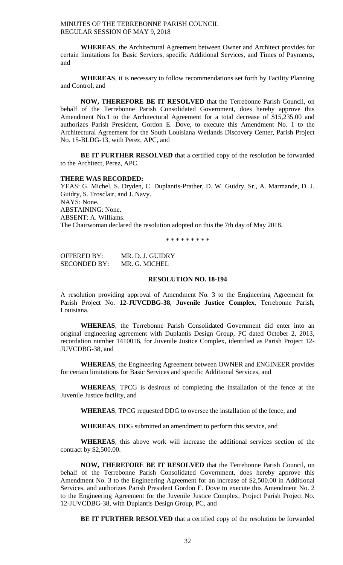**WHEREAS**, the Architectural Agreement between Owner and Architect provides for certain limitations for Basic Services, specific Additional Services, and Times of Payments, and

**WHEREAS**, it is necessary to follow recommendations set forth by Facility Planning and Control, and

**NOW, THEREFORE BE IT RESOLVED** that the Terrebonne Parish Council, on behalf of the Terrebonne Parish Consolidated Government, does hereby approve this Amendment No.1 to the Architectural Agreement for a total decrease of \$15,235.00 and authorizes Parish President, Gordon E. Dove, to execute this Amendment No. 1 to the Architectural Agreement for the South Louisiana Wetlands Discovery Center, Parish Project No. 15-BLDG-13, with Perez, APC, and

**BE IT FURTHER RESOLVED** that a certified copy of the resolution be forwarded to the Architect, Perez, APC.

# **THERE WAS RECORDED:**

YEAS: G. Michel, S. Dryden, C. Duplantis-Prather, D. W. Guidry, Sr., A. Marmande, D. J. Guidry, S. Trosclair, and J. Navy. NAYS: None. ABSTAINING: None. ABSENT: A. Williams. The Chairwoman declared the resolution adopted on this the 7th day of May 2018.

\* \* \* \* \* \* \* \* \*

OFFERED BY: MR. D. J. GUIDRY SECONDED BY: MR. G. MICHEL

# **RESOLUTION NO. 18-194**

A resolution providing approval of Amendment No. 3 to the Engineering Agreement for Parish Project No. **12-JUVCDBG-38**, **Juvenile Justice Complex**, Terrebonne Parish, Louisiana.

**WHEREAS**, the Terrebonne Parish Consolidated Government did enter into an original engineering agreement with Duplantis Design Group, PC dated October 2, 2013, recordation number 1410016, for Juvenile Justice Complex, identified as Parish Project 12- JUVCDBG-38, and

**WHEREAS**, the Engineering Agreement between OWNER and ENGINEER provides for certain limitations for Basic Services and specific Additional Services, and

**WHEREAS**, TPCG is desirous of completing the installation of the fence at the Juvenile Justice facility, and

**WHEREAS**, TPCG requested DDG to oversee the installation of the fence, and

**WHEREAS**, DDG submitted an amendment to perform this service, and

**WHEREAS**, this above work will increase the additional services section of the contract by \$2,500.00.

**NOW, THEREFORE BE IT RESOLVED** that the Terrebonne Parish Council, on behalf of the Terrebonne Parish Consolidated Government, does hereby approve this Amendment No. 3 to the Engineering Agreement for an increase of \$2,500.00 in Additional Services, and authorizes Parish President Gordon E. Dove to execute this Amendment No. 2 to the Engineering Agreement for the Juvenile Justice Complex, Project Parish Project No. 12-JUVCDBG-38, with Duplantis Design Group, PC, and

**BE IT FURTHER RESOLVED** that a certified copy of the resolution be forwarded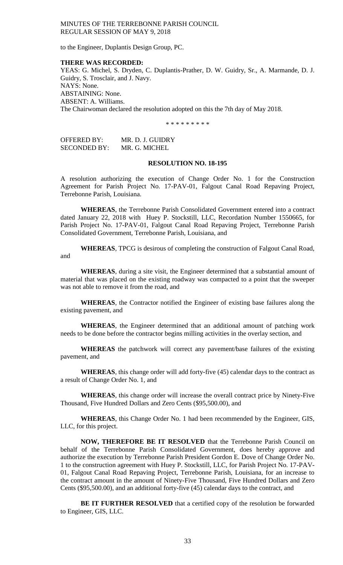to the Engineer, Duplantis Design Group, PC.

## **THERE WAS RECORDED:**

YEAS: G. Michel, S. Dryden, C. Duplantis-Prather, D. W. Guidry, Sr., A. Marmande, D. J. Guidry, S. Trosclair, and J. Navy. NAYS: None. ABSTAINING: None. ABSENT: A. Williams. The Chairwoman declared the resolution adopted on this the 7th day of May 2018.

\* \* \* \* \* \* \* \* \*

OFFERED BY: MR. D. J. GUIDRY SECONDED BY: MR. G. MICHEL

## **RESOLUTION NO. 18-195**

A resolution authorizing the execution of Change Order No. 1 for the Construction Agreement for Parish Project No. 17-PAV-01, Falgout Canal Road Repaving Project, Terrebonne Parish, Louisiana.

**WHEREAS**, the Terrebonne Parish Consolidated Government entered into a contract dated January 22, 2018 with Huey P. Stockstill, LLC, Recordation Number 1550665, for Parish Project No. 17-PAV-01, Falgout Canal Road Repaving Project, Terrebonne Parish Consolidated Government, Terrebonne Parish, Louisiana, and

**WHEREAS**, TPCG is desirous of completing the construction of Falgout Canal Road, and

**WHEREAS**, during a site visit, the Engineer determined that a substantial amount of material that was placed on the existing roadway was compacted to a point that the sweeper was not able to remove it from the road, and

**WHEREAS**, the Contractor notified the Engineer of existing base failures along the existing pavement, and

**WHEREAS**, the Engineer determined that an additional amount of patching work needs to be done before the contractor begins milling activities in the overlay section, and

**WHEREAS** the patchwork will correct any pavement/base failures of the existing pavement, and

**WHEREAS**, this change order will add forty-five (45) calendar days to the contract as a result of Change Order No. 1, and

**WHEREAS**, this change order will increase the overall contract price by Ninety-Five Thousand, Five Hundred Dollars and Zero Cents (\$95,500.00), and

**WHEREAS**, this Change Order No. 1 had been recommended by the Engineer, GIS, LLC, for this project.

**NOW, THEREFORE BE IT RESOLVED** that the Terrebonne Parish Council on behalf of the Terrebonne Parish Consolidated Government, does hereby approve and authorize the execution by Terrebonne Parish President Gordon E. Dove of Change Order No. 1 to the construction agreement with Huey P. Stockstill, LLC, for Parish Project No. 17-PAV-01, Falgout Canal Road Repaving Project, Terrebonne Parish, Louisiana, for an increase to the contract amount in the amount of Ninety-Five Thousand, Five Hundred Dollars and Zero Cents (\$95,500.00), and an additional forty-five (45) calendar days to the contract, and

**BE IT FURTHER RESOLVED** that a certified copy of the resolution be forwarded to Engineer, GIS, LLC.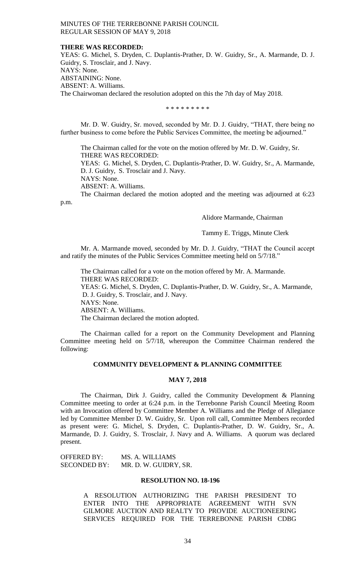#### **THERE WAS RECORDED:**

YEAS: G. Michel, S. Dryden, C. Duplantis-Prather, D. W. Guidry, Sr., A. Marmande, D. J. Guidry, S. Trosclair, and J. Navy. NAYS: None. ABSTAINING: None. ABSENT: A. Williams. The Chairwoman declared the resolution adopted on this the 7th day of May 2018.

\* \* \* \* \* \* \* \* \*

Mr. D. W. Guidry, Sr. moved, seconded by Mr. D. J. Guidry, "THAT, there being no further business to come before the Public Services Committee, the meeting be adjourned."

The Chairman called for the vote on the motion offered by Mr. D. W. Guidry, Sr. THERE WAS RECORDED:

YEAS: G. Michel, S. Dryden, C. Duplantis-Prather, D. W. Guidry, Sr., A. Marmande, D. J. Guidry, S. Trosclair and J. Navy.

NAYS: None.

ABSENT: A. Williams.

The Chairman declared the motion adopted and the meeting was adjourned at 6:23

p.m.

## Alidore Marmande, Chairman

Tammy E. Triggs, Minute Clerk

Mr. A. Marmande moved, seconded by Mr. D. J. Guidry, "THAT the Council accept and ratify the minutes of the Public Services Committee meeting held on 5/7/18."

The Chairman called for a vote on the motion offered by Mr. A. Marmande. THERE WAS RECORDED: YEAS: G. Michel, S. Dryden, C. Duplantis-Prather, D. W. Guidry, Sr., A. Marmande, D. J. Guidry, S. Trosclair, and J. Navy. NAYS: None. ABSENT: A. Williams. The Chairman declared the motion adopted.

The Chairman called for a report on the Community Development and Planning Committee meeting held on 5/7/18, whereupon the Committee Chairman rendered the following:

# **COMMUNITY DEVELOPMENT & PLANNING COMMITTEE**

#### **MAY 7, 2018**

The Chairman, Dirk J. Guidry, called the Community Development & Planning Committee meeting to order at 6:24 p.m. in the Terrebonne Parish Council Meeting Room with an Invocation offered by Committee Member A. Williams and the Pledge of Allegiance led by Committee Member D. W. Guidry, Sr. Upon roll call, Committee Members recorded as present were: G. Michel, S. Dryden, C. Duplantis-Prather, D. W. Guidry, Sr., A. Marmande, D. J. Guidry, S. Trosclair, J. Navy and A. Williams. A quorum was declared present.

| <b>OFFERED BY:</b>  | MS. A. WILLIAMS       |
|---------------------|-----------------------|
| <b>SECONDED BY:</b> | MR. D. W. GUIDRY, SR. |

## **RESOLUTION NO. 18-196**

A RESOLUTION AUTHORIZING THE PARISH PRESIDENT TO ENTER INTO THE APPROPRIATE AGREEMENT WITH SVN GILMORE AUCTION AND REALTY TO PROVIDE AUCTIONEERING SERVICES REQUIRED FOR THE TERREBONNE PARISH CDBG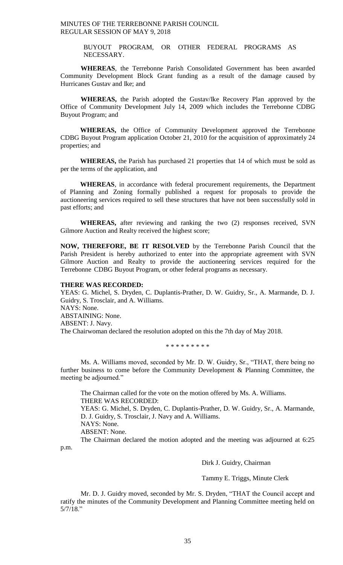> BUYOUT PROGRAM, OR OTHER FEDERAL PROGRAMS AS NECESSARY.

**WHEREAS**, the Terrebonne Parish Consolidated Government has been awarded Community Development Block Grant funding as a result of the damage caused by Hurricanes Gustav and Ike; and

**WHEREAS,** the Parish adopted the Gustav/Ike Recovery Plan approved by the Office of Community Development July 14, 2009 which includes the Terrebonne CDBG Buyout Program; and

**WHEREAS,** the Office of Community Development approved the Terrebonne CDBG Buyout Program application October 21, 2010 for the acquisition of approximately 24 properties; and

**WHEREAS,** the Parish has purchased 21 properties that 14 of which must be sold as per the terms of the application, and

**WHEREAS**, in accordance with federal procurement requirements, the Department of Planning and Zoning formally published a request for proposals to provide the auctioneering services required to sell these structures that have not been successfully sold in past efforts; and

**WHEREAS,** after reviewing and ranking the two (2) responses received, SVN Gilmore Auction and Realty received the highest score;

**NOW, THEREFORE, BE IT RESOLVED** by the Terrebonne Parish Council that the Parish President is hereby authorized to enter into the appropriate agreement with SVN Gilmore Auction and Realty to provide the auctioneering services required for the Terrebonne CDBG Buyout Program, or other federal programs as necessary.

# **THERE WAS RECORDED:**

YEAS: G. Michel, S. Dryden, C. Duplantis-Prather, D. W. Guidry, Sr., A. Marmande, D. J. Guidry, S. Trosclair, and A. Williams. NAYS: None. ABSTAINING: None. ABSENT: J. Navy. The Chairwoman declared the resolution adopted on this the 7th day of May 2018.

\* \* \* \* \* \* \* \* \*

Ms. A. Williams moved, seconded by Mr. D. W. Guidry, Sr., "THAT, there being no further business to come before the Community Development & Planning Committee, the meeting be adjourned."

The Chairman called for the vote on the motion offered by Ms. A. Williams. THERE WAS RECORDED: YEAS: G. Michel, S. Dryden, C. Duplantis-Prather, D. W. Guidry, Sr., A. Marmande, D. J. Guidry, S. Trosclair, J. Navy and A. Williams. NAYS: None. ABSENT: None. The Chairman declared the motion adopted and the meeting was adjourned at 6:25

p.m.

Dirk J. Guidry, Chairman

Tammy E. Triggs, Minute Clerk

Mr. D. J. Guidry moved, seconded by Mr. S. Dryden, "THAT the Council accept and ratify the minutes of the Community Development and Planning Committee meeting held on 5/7/18."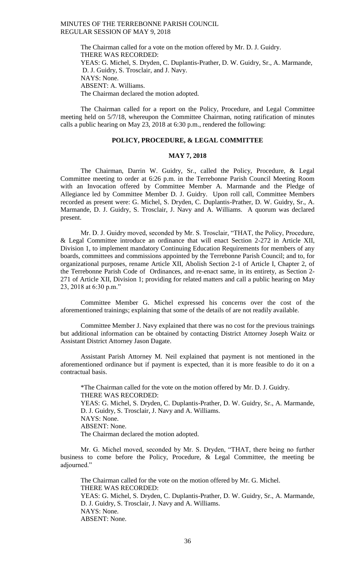The Chairman called for a vote on the motion offered by Mr. D. J. Guidry. THERE WAS RECORDED: YEAS: G. Michel, S. Dryden, C. Duplantis-Prather, D. W. Guidry, Sr., A. Marmande, D. J. Guidry, S. Trosclair, and J. Navy. NAYS: None. ABSENT: A. Williams. The Chairman declared the motion adopted.

The Chairman called for a report on the Policy, Procedure, and Legal Committee meeting held on 5/7/18, whereupon the Committee Chairman, noting ratification of minutes calls a public hearing on May 23, 2018 at 6:30 p.m., rendered the following:

# **POLICY, PROCEDURE, & LEGAL COMMITTEE**

## **MAY 7, 2018**

The Chairman, Darrin W. Guidry, Sr., called the Policy, Procedure, & Legal Committee meeting to order at 6:26 p.m. in the Terrebonne Parish Council Meeting Room with an Invocation offered by Committee Member A. Marmande and the Pledge of Allegiance led by Committee Member D. J. Guidry. Upon roll call, Committee Members recorded as present were: G. Michel, S. Dryden, C. Duplantis-Prather, D. W. Guidry, Sr., A. Marmande, D. J. Guidry, S. Trosclair, J. Navy and A. Williams. A quorum was declared present.

Mr. D. J. Guidry moved, seconded by Mr. S. Trosclair, "THAT, the Policy, Procedure, & Legal Committee introduce an ordinance that will enact Section 2-272 in Article XII, Division 1, to implement mandatory Continuing Education Requirements for members of any boards, committees and commissions appointed by the Terrebonne Parish Council; and to, for organizational purposes, rename Article XII, Abolish Section 2-1 of Article I, Chapter 2, of the Terrebonne Parish Code of Ordinances, and re-enact same, in its entirety, as Section 2- 271 of Article XII, Division 1; providing for related matters and call a public hearing on May 23, 2018 at 6:30 p.m."

Committee Member G. Michel expressed his concerns over the cost of the aforementioned trainings; explaining that some of the details of are not readily available.

Committee Member J. Navy explained that there was no cost for the previous trainings but additional information can be obtained by contacting District Attorney Joseph Waitz or Assistant District Attorney Jason Dagate.

Assistant Parish Attorney M. Neil explained that payment is not mentioned in the aforementioned ordinance but if payment is expected, than it is more feasible to do it on a contractual basis.

\*The Chairman called for the vote on the motion offered by Mr. D. J. Guidry. THERE WAS RECORDED: YEAS: G. Michel, S. Dryden, C. Duplantis-Prather, D. W. Guidry, Sr., A. Marmande, D. J. Guidry, S. Trosclair, J. Navy and A. Williams. NAYS: None. ABSENT: None. The Chairman declared the motion adopted.

Mr. G. Michel moved, seconded by Mr. S. Dryden, "THAT, there being no further business to come before the Policy, Procedure, & Legal Committee, the meeting be adjourned."

The Chairman called for the vote on the motion offered by Mr. G. Michel. THERE WAS RECORDED: YEAS: G. Michel, S. Dryden, C. Duplantis-Prather, D. W. Guidry, Sr., A. Marmande, D. J. Guidry, S. Trosclair, J. Navy and A. Williams. NAYS: None. ABSENT: None.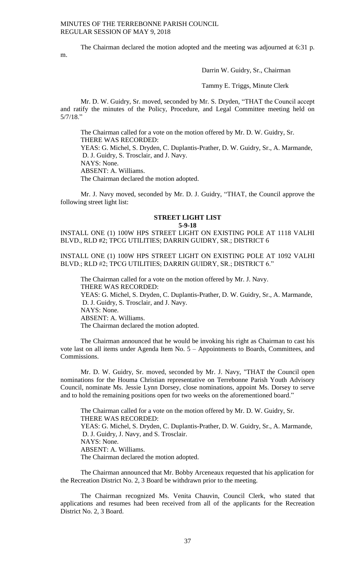The Chairman declared the motion adopted and the meeting was adjourned at 6:31 p.

Darrin W. Guidry, Sr., Chairman

Tammy E. Triggs, Minute Clerk

Mr. D. W. Guidry, Sr. moved, seconded by Mr. S. Dryden, "THAT the Council accept and ratify the minutes of the Policy, Procedure, and Legal Committee meeting held on 5/7/18."

The Chairman called for a vote on the motion offered by Mr. D. W. Guidry, Sr. THERE WAS RECORDED:

YEAS: G. Michel, S. Dryden, C. Duplantis-Prather, D. W. Guidry, Sr., A. Marmande, D. J. Guidry, S. Trosclair, and J. Navy.

NAYS: None.

m.

ABSENT: A. Williams.

The Chairman declared the motion adopted.

Mr. J. Navy moved, seconded by Mr. D. J. Guidry, "THAT, the Council approve the following street light list:

# **STREET LIGHT LIST**

**5-9-18**

INSTALL ONE (1) 100W HPS STREET LIGHT ON EXISTING POLE AT 1118 VALHI BLVD., RLD #2; TPCG UTILITIES; DARRIN GUIDRY, SR.; DISTRICT 6

INSTALL ONE (1) 100W HPS STREET LIGHT ON EXISTING POLE AT 1092 VALHI BLVD.; RLD #2; TPCG UTILITIES; DARRIN GUIDRY, SR.; DISTRICT 6."

The Chairman called for a vote on the motion offered by Mr. J. Navy. THERE WAS RECORDED: YEAS: G. Michel, S. Dryden, C. Duplantis-Prather, D. W. Guidry, Sr., A. Marmande, D. J. Guidry, S. Trosclair, and J. Navy. NAYS: None. ABSENT: A. Williams. The Chairman declared the motion adopted.

The Chairman announced that he would be invoking his right as Chairman to cast his vote last on all items under Agenda Item No. 5 – Appointments to Boards, Committees, and Commissions.

Mr. D. W. Guidry, Sr. moved, seconded by Mr. J. Navy, "THAT the Council open nominations for the Houma Christian representative on Terrebonne Parish Youth Advisory Council, nominate Ms. Jessie Lynn Dorsey, close nominations, appoint Ms. Dorsey to serve and to hold the remaining positions open for two weeks on the aforementioned board."

The Chairman called for a vote on the motion offered by Mr. D. W. Guidry, Sr. THERE WAS RECORDED: YEAS: G. Michel, S. Dryden, C. Duplantis-Prather, D. W. Guidry, Sr., A. Marmande, D. J. Guidry, J. Navy, and S. Trosclair. NAYS: None. ABSENT: A. Williams. The Chairman declared the motion adopted.

The Chairman announced that Mr. Bobby Arceneaux requested that his application for the Recreation District No. 2, 3 Board be withdrawn prior to the meeting.

The Chairman recognized Ms. Venita Chauvin, Council Clerk, who stated that applications and resumes had been received from all of the applicants for the Recreation District No. 2, 3 Board.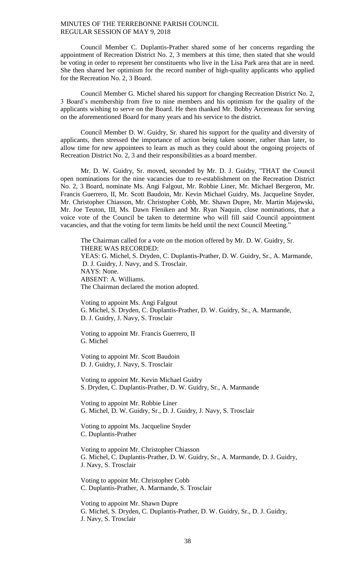Council Member C. Duplantis-Prather shared some of her concerns regarding the appointment of Recreation District No. 2, 3 members at this time, then stated that she would be voting in order to represent her constituents who live in the Lisa Park area that are in need. She then shared her optimism for the record number of high-quality applicants who applied for the Recreation No. 2, 3 Board.

Council Member G. Michel shared his support for changing Recreation District No. 2, 3 Board's membership from five to nine members and his optimism for the quality of the applicants wishing to serve on the Board. He then thanked Mr. Bobby Arceneaux for serving on the aforementioned Board for many years and his service to the district.

Council Member D. W. Guidry, Sr. shared his support for the quality and diversity of applicants, then stressed the importance of action being taken sooner, rather than later, to allow time for new appointees to learn as much as they could about the ongoing projects of Recreation District No. 2, 3 and their responsibilities as a board member.

Mr. D. W. Guidry, Sr. moved, seconded by Mr. D. J. Guidry, "THAT the Council open nominations for the nine vacancies due to re-establishment on the Recreation District No. 2, 3 Board, nominate Ms. Angi Falgout, Mr. Robbie Liner, Mr. Michael Bergeron, Mr. Francis Guerrero, II, Mr. Scott Baudoin, Mr. Kevin Michael Guidry, Ms. Jacqueline Snyder, Mr. Christopher Chiasson, Mr. Christopher Cobb, Mr. Shawn Dupre, Mr. Martin Majewski, Mr. Joe Teuton, III, Ms. Dawn Fleniken and Mr. Ryan Naquin, close nominations, that a voice vote of the Council be taken to determine who will fill said Council appointment vacancies, and that the voting for term limits be held until the next Council Meeting."

The Chairman called for a vote on the motion offered by Mr. D. W. Guidry, Sr. THERE WAS RECORDED: YEAS: G. Michel, S. Dryden, C. Duplantis-Prather, D. W. Guidry, Sr., A. Marmande, D. J. Guidry, J. Navy, and S. Trosclair. NAYS: None. ABSENT: A. Williams. The Chairman declared the motion adopted.

Voting to appoint Ms. Angi Falgout G. Michel, S. Dryden, C. Duplantis-Prather, D. W. Guidry, Sr., A. Marmande, D. J. Guidry, J. Navy, S. Trosclair

Voting to appoint Mr. Francis Guerrero, II G. Michel

Voting to appoint Mr. Scott Baudoin D. J. Guidry, J. Navy, S. Trosclair

Voting to appoint Mr. Kevin Michael Guidry S. Dryden, C. Duplantis-Prather, D. W. Guidry, Sr., A. Marmande

Voting to appoint Mr. Robbie Liner G. Michel, D. W. Guidry, Sr., D. J. Guidry, J. Navy, S. Trosclair

Voting to appoint Ms. Jacqueline Snyder C. Duplantis-Prather

Voting to appoint Mr. Christopher Chiasson G. Michel, C. Duplantis-Prather, D. W. Guidry, Sr., A. Marmande, D. J. Guidry, J. Navy, S. Trosclair

Voting to appoint Mr. Christopher Cobb C. Duplantis-Prather, A. Marmande, S. Trosclair

Voting to appoint Mr. Shawn Dupre G. Michel, S. Dryden, C. Duplantis-Prather, D. W. Guidry, Sr., D. J. Guidry, J. Navy, S. Trosclair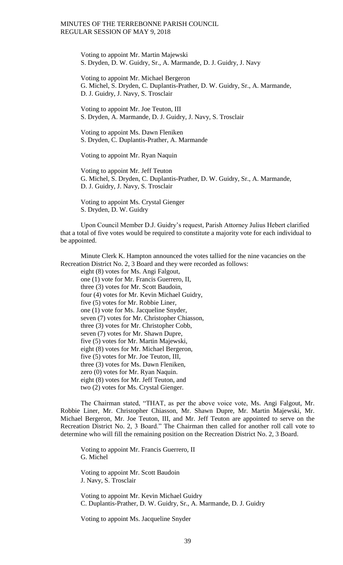Voting to appoint Mr. Martin Majewski S. Dryden, D. W. Guidry, Sr., A. Marmande, D. J. Guidry, J. Navy

Voting to appoint Mr. Michael Bergeron G. Michel, S. Dryden, C. Duplantis-Prather, D. W. Guidry, Sr., A. Marmande, D. J. Guidry, J. Navy, S. Trosclair

Voting to appoint Mr. Joe Teuton, III S. Dryden, A. Marmande, D. J. Guidry, J. Navy, S. Trosclair

Voting to appoint Ms. Dawn Fleniken S. Dryden, C. Duplantis-Prather, A. Marmande

Voting to appoint Mr. Ryan Naquin

Voting to appoint Mr. Jeff Teuton G. Michel, S. Dryden, C. Duplantis-Prather, D. W. Guidry, Sr., A. Marmande, D. J. Guidry, J. Navy, S. Trosclair

Voting to appoint Ms. Crystal Gienger S. Dryden, D. W. Guidry

Upon Council Member D.J. Guidry's request, Parish Attorney Julius Hebert clarified that a total of five votes would be required to constitute a majority vote for each individual to be appointed.

Minute Clerk K. Hampton announced the votes tallied for the nine vacancies on the Recreation District No. 2, 3 Board and they were recorded as follows:

eight (8) votes for Ms. Angi Falgout, one (1) vote for Mr. Francis Guerrero, II, three (3) votes for Mr. Scott Baudoin, four (4) votes for Mr. Kevin Michael Guidry, five (5) votes for Mr. Robbie Liner, one (1) vote for Ms. Jacqueline Snyder, seven (7) votes for Mr. Christopher Chiasson, three (3) votes for Mr. Christopher Cobb, seven (7) votes for Mr. Shawn Dupre, five (5) votes for Mr. Martin Majewski, eight (8) votes for Mr. Michael Bergeron, five (5) votes for Mr. Joe Teuton, III, three (3) votes for Ms. Dawn Fleniken, zero (0) votes for Mr. Ryan Naquin. eight (8) votes for Mr. Jeff Teuton, and two (2) votes for Ms. Crystal Gienger.

The Chairman stated, "THAT, as per the above voice vote, Ms. Angi Falgout, Mr. Robbie Liner, Mr. Christopher Chiasson, Mr. Shawn Dupre, Mr. Martin Majewski, Mr. Michael Bergeron, Mr. Joe Teuton, III, and Mr. Jeff Teuton are appointed to serve on the Recreation District No. 2, 3 Board." The Chairman then called for another roll call vote to determine who will fill the remaining position on the Recreation District No. 2, 3 Board.

Voting to appoint Mr. Francis Guerrero, II G. Michel

Voting to appoint Mr. Scott Baudoin J. Navy, S. Trosclair

Voting to appoint Mr. Kevin Michael Guidry C. Duplantis-Prather, D. W. Guidry, Sr., A. Marmande, D. J. Guidry

Voting to appoint Ms. Jacqueline Snyder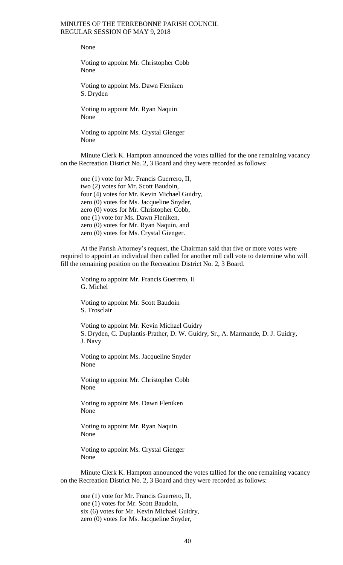None

Voting to appoint Mr. Christopher Cobb None

Voting to appoint Ms. Dawn Fleniken S. Dryden

Voting to appoint Mr. Ryan Naquin None

Voting to appoint Ms. Crystal Gienger None

Minute Clerk K. Hampton announced the votes tallied for the one remaining vacancy on the Recreation District No. 2, 3 Board and they were recorded as follows:

one (1) vote for Mr. Francis Guerrero, II, two (2) votes for Mr. Scott Baudoin, four (4) votes for Mr. Kevin Michael Guidry, zero (0) votes for Ms. Jacqueline Snyder, zero (0) votes for Mr. Christopher Cobb, one (1) vote for Ms. Dawn Fleniken, zero (0) votes for Mr. Ryan Naquin, and zero (0) votes for Ms. Crystal Gienger.

At the Parish Attorney's request, the Chairman said that five or more votes were required to appoint an individual then called for another roll call vote to determine who will fill the remaining position on the Recreation District No. 2, 3 Board.

Voting to appoint Mr. Francis Guerrero, II G. Michel

Voting to appoint Mr. Scott Baudoin S. Trosclair

Voting to appoint Mr. Kevin Michael Guidry S. Dryden, C. Duplantis-Prather, D. W. Guidry, Sr., A. Marmande, D. J. Guidry, J. Navy

Voting to appoint Ms. Jacqueline Snyder None

Voting to appoint Mr. Christopher Cobb None

Voting to appoint Ms. Dawn Fleniken None

Voting to appoint Mr. Ryan Naquin None

Voting to appoint Ms. Crystal Gienger None

Minute Clerk K. Hampton announced the votes tallied for the one remaining vacancy on the Recreation District No. 2, 3 Board and they were recorded as follows:

one (1) vote for Mr. Francis Guerrero, II, one (1) votes for Mr. Scott Baudoin, six (6) votes for Mr. Kevin Michael Guidry, zero (0) votes for Ms. Jacqueline Snyder,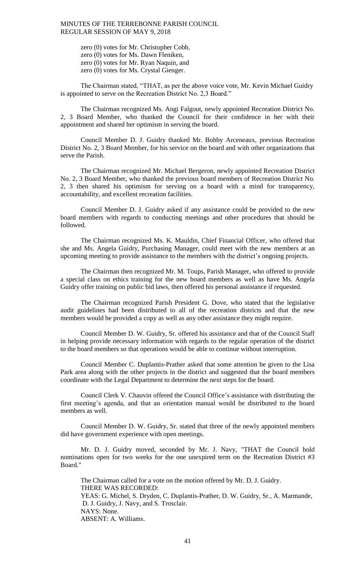zero (0) votes for Mr. Christopher Cobb, zero (0) votes for Ms. Dawn Fleniken, zero (0) votes for Mr. Ryan Naquin, and zero (0) votes for Ms. Crystal Gienger.

The Chairman stated, "THAT, as per the above voice vote, Mr. Kevin Michael Guidry is appointed to serve on the Recreation District No. 2,3 Board."

The Chairman recognized Ms. Angi Falgout, newly appointed Recreation District No. 2, 3 Board Member, who thanked the Council for their confidence in her with their appointment and shared her optimism in serving the board.

Council Member D. J. Guidry thanked Mr. Bobby Arceneaux, previous Recreation District No. 2, 3 Board Member, for his service on the board and with other organizations that serve the Parish.

The Chairman recognized Mr. Michael Bergeron, newly appointed Recreation District No. 2, 3 Board Member, who thanked the previous board members of Recreation District No. 2, 3 then shared his optimism for serving on a board with a mind for transparency, accountability, and excellent recreation facilities.

Council Member D. J. Guidry asked if any assistance could be provided to the new board members with regards to conducting meetings and other procedures that should be followed.

The Chairman recognized Ms. K. Mauldin, Chief Financial Officer, who offered that she and Ms. Angela Guidry, Purchasing Manager, could meet with the new members at an upcoming meeting to provide assistance to the members with the district's ongoing projects.

The Chairman then recognized Mr. M. Toups, Parish Manager, who offered to provide a special class on ethics training for the new board members as well as have Ms. Angela Guidry offer training on public bid laws, then offered his personal assistance if requested.

The Chairman recognized Parish President G. Dove, who stated that the legislative audit guidelines had been distributed to all of the recreation districts and that the new members would be provided a copy as well as any other assistance they might require.

Council Member D. W. Guidry, Sr. offered his assistance and that of the Council Staff in helping provide necessary information with regards to the regular operation of the district to the board members so that operations would be able to continue without interruption.

Council Member C. Duplantis-Prather asked that some attention be given to the Lisa Park area along with the other projects in the district and suggested that the board members coordinate with the Legal Department to determine the next steps for the board.

Council Clerk V. Chauvin offered the Council Office's assistance with distributing the first meeting's agenda, and that an orientation manual would be distributed to the board members as well.

Council Member D. W. Guidry, Sr. stated that three of the newly appointed members did have government experience with open meetings.

Mr. D. J. Guidry moved, seconded by Mr. J. Navy, "THAT the Council hold nominations open for two weeks for the one unexpired term on the Recreation District #3 Board."

The Chairman called for a vote on the motion offered by Mr. D. J. Guidry. THERE WAS RECORDED: YEAS: G. Michel, S. Dryden, C. Duplantis-Prather, D. W. Guidry, Sr., A. Marmande, D. J. Guidry, J. Navy, and S. Trosclair. NAYS: None. ABSENT: A. Williams.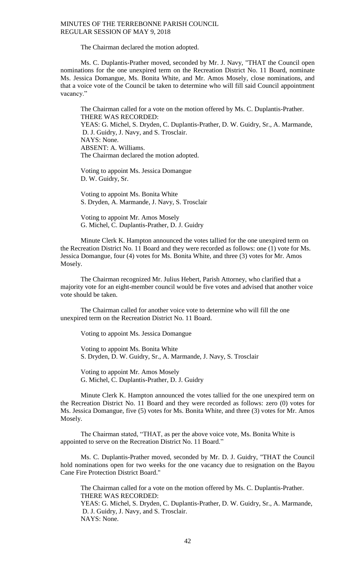The Chairman declared the motion adopted.

Ms. C. Duplantis-Prather moved, seconded by Mr. J. Navy, "THAT the Council open nominations for the one unexpired term on the Recreation District No. 11 Board, nominate Ms. Jessica Domangue, Ms. Bonita White, and Mr. Amos Mosely, close nominations, and that a voice vote of the Council be taken to determine who will fill said Council appointment vacancy."

The Chairman called for a vote on the motion offered by Ms. C. Duplantis-Prather. THERE WAS RECORDED:

YEAS: G. Michel, S. Dryden, C. Duplantis-Prather, D. W. Guidry, Sr., A. Marmande, D. J. Guidry, J. Navy, and S. Trosclair. NAYS: None. ABSENT: A. Williams.

The Chairman declared the motion adopted.

Voting to appoint Ms. Jessica Domangue D. W. Guidry, Sr.

Voting to appoint Ms. Bonita White S. Dryden, A. Marmande, J. Navy, S. Trosclair

Voting to appoint Mr. Amos Mosely G. Michel, C. Duplantis-Prather, D. J. Guidry

Minute Clerk K. Hampton announced the votes tallied for the one unexpired term on the Recreation District No. 11 Board and they were recorded as follows: one (1) vote for Ms. Jessica Domangue, four (4) votes for Ms. Bonita White, and three (3) votes for Mr. Amos Mosely.

The Chairman recognized Mr. Julius Hebert, Parish Attorney, who clarified that a majority vote for an eight-member council would be five votes and advised that another voice vote should be taken.

The Chairman called for another voice vote to determine who will fill the one unexpired term on the Recreation District No. 11 Board.

Voting to appoint Ms. Jessica Domangue

Voting to appoint Ms. Bonita White S. Dryden, D. W. Guidry, Sr., A. Marmande, J. Navy, S. Trosclair

Voting to appoint Mr. Amos Mosely G. Michel, C. Duplantis-Prather, D. J. Guidry

Minute Clerk K. Hampton announced the votes tallied for the one unexpired term on the Recreation District No. 11 Board and they were recorded as follows: zero (0) votes for Ms. Jessica Domangue, five (5) votes for Ms. Bonita White, and three (3) votes for Mr. Amos Mosely.

The Chairman stated, "THAT, as per the above voice vote, Ms. Bonita White is appointed to serve on the Recreation District No. 11 Board."

Ms. C. Duplantis-Prather moved, seconded by Mr. D. J. Guidry, "THAT the Council hold nominations open for two weeks for the one vacancy due to resignation on the Bayou Cane Fire Protection District Board."

The Chairman called for a vote on the motion offered by Ms. C. Duplantis-Prather. THERE WAS RECORDED: YEAS: G. Michel, S. Dryden, C. Duplantis-Prather, D. W. Guidry, Sr., A. Marmande, D. J. Guidry, J. Navy, and S. Trosclair. NAYS: None.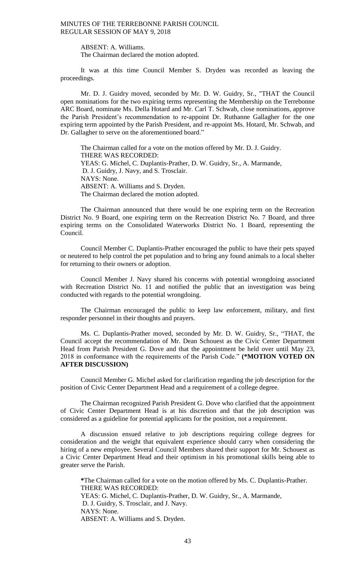ABSENT: A. Williams.

The Chairman declared the motion adopted.

It was at this time Council Member S. Dryden was recorded as leaving the proceedings.

Mr. D. J. Guidry moved, seconded by Mr. D. W. Guidry, Sr., "THAT the Council open nominations for the two expiring terms representing the Membership on the Terrebonne ARC Board, nominate Ms. Della Hotard and Mr. Carl T. Schwab, close nominations, approve the Parish President's recommendation to re-appoint Dr. Ruthanne Gallagher for the one expiring term appointed by the Parish President, and re-appoint Ms. Hotard, Mr. Schwab, and Dr. Gallagher to serve on the aforementioned board."

The Chairman called for a vote on the motion offered by Mr. D. J. Guidry. THERE WAS RECORDED: YEAS: G. Michel, C. Duplantis-Prather, D. W. Guidry, Sr., A. Marmande, D. J. Guidry, J. Navy, and S. Trosclair. NAYS: None. ABSENT: A. Williams and S. Dryden. The Chairman declared the motion adopted.

The Chairman announced that there would be one expiring term on the Recreation District No. 9 Board, one expiring term on the Recreation District No. 7 Board, and three expiring terms on the Consolidated Waterworks District No. 1 Board, representing the Council.

Council Member C. Duplantis-Prather encouraged the public to have their pets spayed or neutered to help control the pet population and to bring any found animals to a local shelter for returning to their owners or adoption.

Council Member J. Navy shared his concerns with potential wrongdoing associated with Recreation District No. 11 and notified the public that an investigation was being conducted with regards to the potential wrongdoing.

The Chairman encouraged the public to keep law enforcement, military, and first responder personnel in their thoughts and prayers.

Ms. C. Duplantis-Prather moved, seconded by Mr. D. W. Guidry, Sr., "THAT, the Council accept the recommendation of Mr. Dean Schouest as the Civic Center Department Head from Parish President G. Dove and that the appointment be held over until May 23, 2018 in conformance with the requirements of the Parish Code." **(\*MOTION VOTED ON AFTER DISCUSSION)**

Council Member G. Michel asked for clarification regarding the job description for the position of Civic Center Department Head and a requirement of a college degree.

The Chairman recognized Parish President G. Dove who clarified that the appointment of Civic Center Department Head is at his discretion and that the job description was considered as a guideline for potential applicants for the position, not a requirement.

A discussion ensued relative to job descriptions requiring college degrees for consideration and the weight that equivalent experience should carry when considering the hiring of a new employee. Several Council Members shared their support for Mr. Schouest as a Civic Center Department Head and their optimism in his promotional skills being able to greater serve the Parish.

**\***The Chairman called for a vote on the motion offered by Ms. C. Duplantis-Prather. THERE WAS RECORDED: YEAS: G. Michel, C. Duplantis-Prather, D. W. Guidry, Sr., A. Marmande, D. J. Guidry, S. Trosclair, and J. Navy. NAYS: None. ABSENT: A. Williams and S. Dryden.